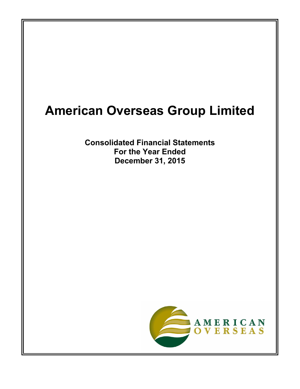# **American Overseas Group Limited**

**Consolidated Financial Statements For the Year Ended December 31, 2015** 

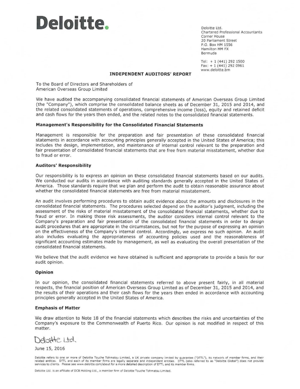# **Deloitte.**

Deloltte Ltd. Chartered Professional Accountants Corner House 20 Parliament Street P.O. Box HM 1556 Hamilton HM FX Bermuda

Tel: + 1 (441) 292 1500 Fax: + 1 (441) 292 0961 www.deloltte.bm

#### **INDEPENDENT AUDITORS' REPORT**

To the Board of Directors and Shareholders of American Overseas Group Limited

We have audited the accompanying consolidated financial statements of American Overseas Group Limited (the "Company"), which comprise the consolidated balance sheets as of December 31, 2015 and 2014, and the related consolidated statements of operations, comprehensive income (loss), equity and retained deficit and cash flows for the years then ended, and the related notes to the consolidated financial statements.

#### **Management's Responsibility for the Consolidated Financial Statements**

Management is responsible for the preparation and fair presentation of these consolidated financial statements in accordance with accounting principles generally accepted in the United States of America; this includes the design, implementation, and maintenance of internal control relevant to the preparation and fair presentation of consolidated financial statements that are free from material misstatement, whether due to fraud or error.

#### **Auditors' Responsibility**

Our responsibility is to express an opinion on these consolidated financial statements based on our audits. We conducted our audits in accordance with auditing standards generally accepted in the United States of America. Those standards require that we plan and perform the audit to obtain reasonable assurance about whether the consolidated financial statements are free from material misstatement.

An audit involves performing procedures to obtain audit evidence about the amounts and disclosures in the consolidated financial statements. The procedures selected depend on the auditor's judgment, including the assessment of the risks of material misstatement of the consolidated financial statements, whether due to fraud or error. In making those risk assessments, the auditor considers internal control relevant to the Company's preparation and fair presentation of the consolidated financial statements in order to design audit procedures that are appropriate in the circumstances, but not for the purpose of expressing an opinion on the effectiveness of the Company's internal control. Accordingly, we express no such opinion. An audit also includes evaluating the appropriateness of accounting policies used and the reasonableness of significant accounting estimates made by management, as well as evaluating the overall presentation of the consolidated financial statements.

We believe that the audit evidence we have obtained is sufficient and appropriate to provide a basis for our audit opinion.

#### **Opinion**

In our opinion, the consolidated financial statements referred to above present fairly, in all material respects, the financial position of American Overseas Group Limited as of December 31, 2015 and 2014, and the results of their operations and their cash flows for the years then ended in accordance with accounting principles generally accepted in the United States of America.

#### **Emphasis of Matter**

We draw attention to Note 18 of the financial statements which describes the risks and uncertainties of the Company's exposure to the Commonwealth of Puerto Rico. Our opinion is not modified in respect of this matter.

Deloitte Ltd.

June 15, 2016

Deloitte refers to one or more of Deloitte Touche Tohmatsu Limited, a UK private company limited by guarantee ("DTTL"), its network of member firms, and their<br>related entities. DTTL and each of its member firms are legally **services to clients. Please see www.deloitte.com/ about for a more detailed description of OTTL and its member firms.**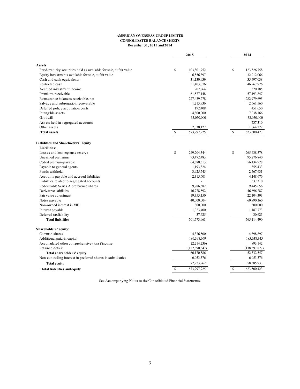#### **AMERICAN OVERSEAS GROUP LIMITED CONSOLIDATED BALANCE SHEETS December 31, 2015 and 2014**

|                                                                     | 2015                        | 2014              |
|---------------------------------------------------------------------|-----------------------------|-------------------|
|                                                                     |                             |                   |
| Assets                                                              |                             |                   |
| Fixed-maturity securities held as available for sale, at fair value | \$<br>103,801,752           | \$<br>123,526,758 |
| Equity investments available for sale, at fair value                | 6,856,397                   | 32,212,066        |
| Cash and cash equivalents                                           | 31,130,939                  | 35,497,038        |
| Restricted cash                                                     | 51,403,076                  | 46,967,926        |
| Accrued investment income                                           | 202,864                     | 320,185           |
| Premiums receivable                                                 | 61,877,148                  | 57,193,847        |
| Reinsurance balances receivable, net                                | 277,439,278                 | 282,979,695       |
| Salvage and subrogation recoverable                                 | 1,213,936                   | 2,661,560         |
| Deferred policy acquisition costs                                   | 192,408                     | 451,650           |
| Intangible assets                                                   | 4,800,000                   | 7,038,166         |
| Goodwill                                                            | 33,050,000                  | 33,050,000        |
| Assets held in segregated accounts                                  |                             | 537,310           |
| Other assets                                                        | 2,030,127                   | 1,064,222         |
| <b>Total assets</b>                                                 | $\mathbb{S}$<br>573,997,925 | \$<br>623,500,423 |
|                                                                     |                             |                   |
| <b>Liabilities and Shareholders' Equity</b><br>Liabilities:         |                             |                   |
| Losses and loss expense reserve                                     | \$<br>249,204,344           | \$<br>265,438,578 |
| Unearned premiums                                                   | 93,472,483                  | 95,276,840        |
| Ceded premium payable                                               | 64,380,313                  | 56,134,928        |
| Payable to general agents                                           | 1,193,824                   | 355,433           |
| Funds withheld                                                      | 3,925,745                   | 2,567,631         |
| Accounts payable and accrued liabilities                            | 2,315,601                   | 4,148,676         |
| Liabilities related to segregated accounts                          |                             | 537,310           |
| Redeemable Series A preference shares                               | 9,786,582                   | 9,445,656         |
| Derivative liabilities                                              | 16,778,892                  | 46,696,287        |
| Fair value adjustment                                               | 19,355,150                  | 22, 104, 393      |
| Notes payable                                                       | 40,000,004                  | 60,890,360        |
| Non-owned interest in VIE                                           | 300,000                     | 300,000           |
| Interest payable                                                    | 1,023,400                   | 1,187,773         |
| Deferred tax liability                                              | 37,625                      | 30,625            |
| <b>Total liabilities</b>                                            | 501,773,963                 | 565,114,490       |
|                                                                     |                             |                   |
| Shareholders' equity:                                               |                             |                   |
| Common shares                                                       | 4,376,500                   | 4,398,897         |
| Additional paid-in capital                                          | 186,398,669                 | 185,638,345       |
| Accumulated other comprehensive (loss)/income                       | (2,214,236)                 | 893,142           |
| Retained deficit                                                    | (122, 390, 347)             | (138, 597, 827)   |
| <b>Total shareholders' equity</b>                                   | 66,170,586                  | 52,332,557        |
| Non-controlling interest in preferred shares in subsidiaries        | 6,053,376                   | 6,053,376         |
| <b>Total equity</b>                                                 | 72,223,962                  | 58,385,933        |
| Total liabilities and equity                                        | $\mathbf S$<br>573,997,925  | \$<br>623,500,423 |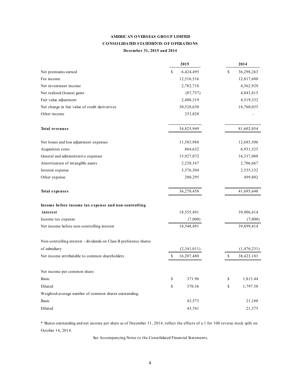# **AMERICAN O VERSEAS GRO UP LIMITED CO NSO LIDATED STATEMENTS O F O PERATIO NS December 31, 2015 and 2014**

|                                                                   | 2015             | 2014             |
|-------------------------------------------------------------------|------------------|------------------|
| Net premiums earned                                               | \$<br>6,424,495  | \$<br>36,298,263 |
| Fee income                                                        | 12,516,516       | 12,817,680       |
| Net investment income                                             | 2,782,718        | 4,362,929        |
| Net realized (losses) gains                                       | (87, 757)        | 4,843,815        |
| Fair value adjustment                                             | 2,408,319        | 4,519,332        |
| Net change in fair value of credit derivatives                    | 30,528,630       | 18,760,035       |
| Other income                                                      | 253,028          |                  |
| <b>Total revenues</b>                                             | 54,825,949       | 81,602,054       |
| Net losses and loss adjustment expenses                           | 11,583,988       | 12,685,506       |
| Acquisition costs                                                 | 864,632          | 6,931,525        |
| General and administrative expenses                               | 15,927,072       | 16,337,008       |
| Amortization of intangible assets                                 | 2,238,167        | 2,706,667        |
| Interest expense                                                  | 5,376,304        | 2,535,132        |
| Other expense                                                     | 280,295          | 499,802          |
| <b>Total expenses</b>                                             | 36,270,458       | 41,695,640       |
| Income before income tax expense and non-controlling              |                  |                  |
| interest                                                          | 18,555,491       | 39,906,414       |
| Income tax expense                                                | (7,000)          | (7,000)          |
| Net income before non-controlling interest                        | 18,548,491       | 39,899,414       |
| Non-controlling interest - dividends on Class B preference shares |                  |                  |
| of subsidiary                                                     | (2,341,011)      | (1,476,231)      |
| Net income attributable to common shareholders                    | \$<br>16,207,480 | \$<br>38,423,183 |
| Net income per common share:                                      |                  |                  |
| Basic                                                             | \$<br>371.96     | \$<br>1,813.44   |
| Diluted                                                           | \$<br>370.36     | \$<br>1,797.58   |
| Weighted-average number of common shares outstanding:             |                  |                  |
| <b>Basic</b>                                                      | 43,573           | 21,188           |
| Diluted                                                           | 43,761           | 21,375           |

\* Shares outstanding and net income per share as of December 31, 2014, reflect the effects of a 1 for 100 reverse stock split on October 14, 2014.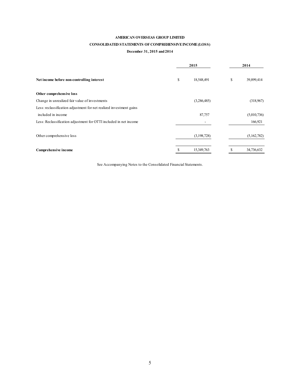#### **AMERICAN OVERSEAS GROUP LIMITED**

#### **CONSOLIDATED STATEMENTS OF COMPREHENSIVE INCOME (LOSS)**

#### **December 31, 2015 and 2014**

|                                                                     |    | 2015        | 2014 |             |  |
|---------------------------------------------------------------------|----|-------------|------|-------------|--|
| Net income before non-controlling interest                          | \$ | 18,548,491  | \$   | 39,899,414  |  |
| Other comprehensive loss                                            |    |             |      |             |  |
| Change in unrealized fair value of investments                      |    | (3,286,485) |      | (318,967)   |  |
| Less: reclassification adjustment for net realized investment gains |    |             |      |             |  |
| included in income                                                  |    | 87,757      |      | (5,010,736) |  |
| Less: Reclassification adjustment for OTTI included in net income   |    |             |      | 166,921     |  |
|                                                                     |    |             |      |             |  |
| Other comprehensive loss                                            |    | (3,198,728) |      | (5,162,782) |  |
|                                                                     |    |             |      |             |  |
| Comprehensive income                                                | £. | 15,349,763  | \$   | 34,736,632  |  |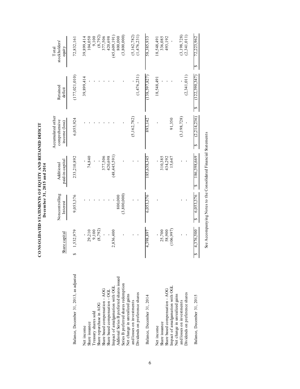|                                                                                                                                                                                                                                                                             | Share capital                           | Noncontrolling<br>Interest | paid-in-capital<br>Additional                  | Accumulated other<br>comprehensive<br>income (loss) | Retained<br>deficit            | stockholders'<br>Total<br>equity                                                                           |
|-----------------------------------------------------------------------------------------------------------------------------------------------------------------------------------------------------------------------------------------------------------------------------|-----------------------------------------|----------------------------|------------------------------------------------|-----------------------------------------------------|--------------------------------|------------------------------------------------------------------------------------------------------------|
| Balance, December 31, 2013, as adjusted                                                                                                                                                                                                                                     | 1,532,979<br>∽                          | 9,053,376                  | 233,210,892                                    | 6,055,924                                           | (177, 021, 010)                | 72,832,161                                                                                                 |
| Addional Series B preferred shares issued<br>Series B preferred shares redemption<br>Impact of amalgamation with OGL<br>Share based compensation - AOG<br>Share based compensation - OGL<br>Share repurchase in AOG<br>Treasury shares sold<br>Share issuance<br>Net income | (8,792)<br>29,210<br>9,100<br>2,836,400 | (3,800,000)                | (48, 445, 591)<br>377,506<br>74,840<br>420,698 |                                                     | 39,899,414                     | (3,800,000)<br>(45,609,191)<br>(8, 792)<br>800,000<br>377,506<br>420,698<br>104,050<br>9,100<br>39,899,414 |
| Dividends on preference shares<br>Net change in unrealized gains<br>Balance, December 31, 2014<br>and losses on investments                                                                                                                                                 | 4,398,897                               | 6,053,376                  | 185,638,345                                    | (5, 162, 782)<br>893,142                            | (1,476,231)<br>(138, 597, 827) | $(5,162,782)$<br>(1,476,231)<br>58,385,933                                                                 |
| Impact of amalgamation with OGL<br>Share based compensation - AOG<br>Share issuance<br>Net income                                                                                                                                                                           | (106, 997)<br>58,900<br>25,700          |                            | 310,385<br>434,292<br>15,647                   | 91,350                                              | 18,548,491                     | 336,085<br>493,192<br>18,548,491                                                                           |
| Dividends on preference shares<br>Net change in unrealized gains<br>Balance, December 31, 2015<br>and losses on investments                                                                                                                                                 | 4,376,500<br>∣∾                         | 6,053,376                  | 186,398,669                                    | (3, 198, 728)<br>(2, 214, 236)                      | (2,341,011)<br>(122, 390, 347) | (2,341,011)<br>(3, 198, 728)<br>72,223,962                                                                 |

CONSOLIDATED STATEMENTS OF EQUITY AND RETAINED DEFICIT<br>December 31, 2015 and 2014 **CO NSO LIDATED STATEMENTS O F EQ UITY AND RETAINED DEFICIT December 31, 2015 and 2014**

6

See Accompanying Notes to the Consolidated Financial Statements See Accompanying Notes to the Consolidated Financial Statements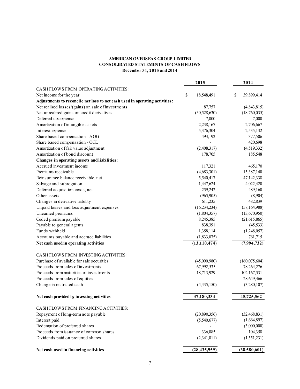#### **AMERICAN OVERSEAS GROUP LIMITED CONSOLIDATED STATEMENTS OF CASH FLOWS December 31, 2015 and 2014**

|                                                                             | 2015             | 2014             |
|-----------------------------------------------------------------------------|------------------|------------------|
| <b>CASH FLOWS FROM OPERATING ACTIVITIES:</b>                                |                  |                  |
| Net income for the year                                                     | \$<br>18,548,491 | \$<br>39,899,414 |
| Adjustments to reconcile net loss to net cash used in operating activities: |                  |                  |
| Net realized losses/(gains) on sale of investments                          | 87,757           | (4,843,815)      |
| Net unrealized gains on credit derivatives                                  | (30,528,630)     | (18,760,035)     |
| Deferred tax expense                                                        | 7,000            | 7,000            |
| Amortization of intangible assets                                           | 2,238,167        | 2,706,667        |
| Interest expense                                                            | 5,376,304        | 2,535,132        |
| Share based compensation - AOG                                              | 493,192          | 377,506          |
| Share based compensation - OGL                                              |                  | 420,698          |
| Amortization of fair value adjustment                                       | (2,408,317)      | (4,519,332)      |
| Amortization of bond discount                                               | 178,705          | 185,548          |
| Changes in operating assets and liabilities:                                |                  |                  |
| Accrued investment income                                                   | 117,321          | 465,170          |
| Premiums receivable                                                         | (4,683,301)      | 15,387,140       |
| Reinsurance balance receivable, net                                         | 5,540,417        | 47,142,338       |
| Salvage and subrogation                                                     | 1,447,624        | 4,022,420        |
| Deferred acquisition costs, net                                             | 259,242          | 489,160          |
| Other assets                                                                | (965, 905)       | (8,904)          |
| Changes in derivative liability                                             | 611,235          | 482,839          |
| Unpaid losses and loss adjustment expenses                                  | (16, 234, 234)   | (58, 164, 988)   |
| Unearned premiums                                                           | (1,804,357)      | (13,670,950)     |
| Ceded premium payable                                                       | 8,245,385        | (21, 615, 865)   |
| Payable to general agents                                                   | 838,391          | (45, 533)        |
| Funds withheld                                                              | 1,358,114        | (1,248,057)      |
| Accounts payable and accrued liabilities                                    | (1,833,075)      | 761,715          |
| Net cash used in operating activities                                       | (13, 110, 474)   | (7,994,732)      |
| CASH FLOWS FROM INVESTING ACTIVITIES:                                       |                  |                  |
| Purchase of available for sale securities                                   | (45,090,980)     | (160, 075, 604)  |
| Proceeds from sales of investments                                          | 67,992,535       | 78,264,276       |
| Proceeds from maturities of investments                                     | 18,713,929       | 102,167,531      |
| Proceeds from sales of equities                                             |                  | 28,649,466       |
| Change in restricted cash                                                   | (4,435,150)      | (3,280,107)      |
| Net cash provided by investing activities                                   | 37,180,334       | 45,725,562       |
| CASH FLOWS FROM FINANCING ACTIVITIES:                                       |                  |                  |
| Repayment of long-term note payable                                         | (20,890,356)     | (32, 468, 831)   |
| Interest paid                                                               | (5,540,677)      | (1,664,897)      |
| Redemption of preferred shares                                              |                  | (3,000,000)      |
| Proceeds from issuance of common shares                                     | 336,085          | 104,358          |
| Dividends paid on preferred shares                                          | (2,341,011)      | (1, 551, 231)    |
| Net cash used in financing activities                                       | (28, 435, 959)   | (38,580,601)     |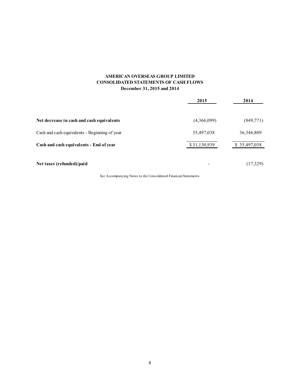### **AMERICAN OVERSEAS GROUP LIMITED CONSOLIDATED STATEMENTS OF CASH FLOWS December 31, 2015 and 2014**

|                                               | 2015                     | 2014         |
|-----------------------------------------------|--------------------------|--------------|
| Net decrease in cash and cash equivalents     | (4,366,099)              | (849,771)    |
| Cash and cash equivalents - Beginning of year | 35,497,038               | 36,346,809   |
| Cash and cash equivalents - End of year       | \$31,130,939             | \$35,497,038 |
| Net taxes (refunded)/paid                     | $\overline{\phantom{a}}$ | (17,329)     |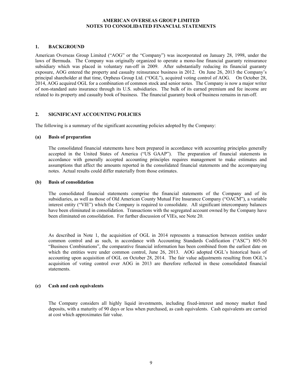#### **1. BACKGROUND**

American Overseas Group Limited ("AOG" or the "Company") was incorporated on January 28, 1998, under the laws of Bermuda. The Company was originally organized to operate a mono-line financial guaranty reinsurance subsidiary which was placed in voluntary run-off in 2009. After substantially reducing its financial guaranty exposure, AOG entered the property and casualty reinsurance business in 2012. On June 26, 2013 the Company's principal shareholder at that time, Orpheus Group Ltd. ("OGL"), acquired voting control of AOG. On October 28, 2014, AOG acquired OGL for a combination of common stock and senior notes. The Company is now a major writer of non-standard auto insurance through its U.S. subsidiaries. The bulk of its earned premium and fee income are related to its property and casualty book of business. The financial guaranty book of business remains in run-off.

#### **2. SIGNIFICANT ACCOUNTING POLICIES**

The following is a summary of the significant accounting policies adopted by the Company:

#### **(a) Basis of preparation**

The consolidated financial statements have been prepared in accordance with accounting principles generally accepted in the United States of America ("US GAAP"). The preparation of financial statements in accordance with generally accepted accounting principles requires management to make estimates and assumptions that affect the amounts reported in the consolidated financial statements and the accompanying notes. Actual results could differ materially from those estimates.

#### **(b) Basis of consolidation**

The consolidated financial statements comprise the financial statements of the Company and of its subsidiaries, as well as those of Old American County Mutual Fire Insurance Company ("OACM"), a variable interest entity ("VIE") which the Company is required to consolidate. All significant intercompany balances have been eliminated in consolidation. Transactions with the segregated account owned by the Company have been eliminated on consolidation. For further discussion of VIEs, see Note 20.

As described in Note 1, the acquisition of OGL in 2014 represents a transaction between entities under common control and as such, in accordance with Accounting Standards Codification ("ASC") 805-50 "Business Combinations", the comparative financial information has been combined from the earliest date on which the entities were under common control, June 26, 2013. AOG adopted OGL's historical basis of accounting upon acquisition of OGL on October 28, 2014. The fair value adjustments resulting from OGL's acquisition of voting control over AOG in 2013 are therefore reflected in these consolidated financial statements.

#### **(c) Cash and cash equivalents**

The Company considers all highly liquid investments, including fixed-interest and money market fund deposits, with a maturity of 90 days or less when purchased, as cash equivalents. Cash equivalents are carried at cost which approximates fair value.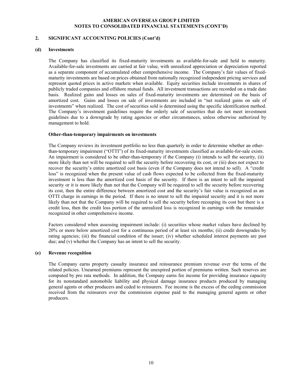#### **2. SIGNIFICANT ACCOUNTING POLICIES (Cont'd)**

#### **(d) Investments**

The Company has classified its fixed-maturity investments as available-for-sale and held to maturity. Available-for-sale investments are carried at fair value, with unrealized appreciation or depreciation reported as a separate component of accumulated other comprehensive income. The Company's fair values of fixedmaturity investments are based on prices obtained from nationally recognized independent pricing services and represent quoted prices in active markets when available. Equity securities include investments in shares of publicly traded companies and offshore mutual funds. All investment transactions are recorded on a trade date basis. Realized gains and losses on sales of fixed-maturity investments are determined on the basis of amortized cost. Gains and losses on sale of investments are included in "net realized gains on sale of investments" when realized. The cost of securities sold is determined using the specific identification method. The Company's investment guidelines require the orderly sale of securities that do not meet investment guidelines due to a downgrade by rating agencies or other circumstances, unless otherwise authorized by management to hold.

#### **Other-than-temporary impairments on investments**

The Company reviews its investment portfolio no less than quarterly in order to determine whether an otherthan-temporary impairment ("OTTI") of its fixed-maturity investments classified as available-for-sale exists. An impairment is considered to be other-than-temporary if the Company (i) intends to sell the security, (ii) more likely than not will be required to sell the security before recovering its cost, or (iii) does not expect to recover the security's entire amortized cost basis (even if the Company does not intend to sell). A "credit loss" is recognized when the present value of cash flows expected to be collected from the fixed-maturity investment is less than the amortized cost basis of the security. If there is an intent to sell the impaired security or it is more likely than not that the Company will be required to sell the security before recovering its cost, then the entire difference between amortized cost and the security's fair value is recognized as an OTTI charge in earnings in the period. If there is no intent to sell the impaired security and it is not more likely than not that the Company will be required to sell the security before recouping its cost but there is a credit loss, then the credit loss portion of the unrealized loss is recognized in earnings with the remainder recognized in other comprehensive income.

Factors considered when assessing impairment include: (i) securities whose market values have declined by 20% or more below amortized cost for a continuous period of at least six months; (ii) credit downgrades by rating agencies; (iii) the financial condition of the issuer; (iv) whether scheduled interest payments are past due; and (v) whether the Company has an intent to sell the security.

#### **(e) Revenue recognition**

The Company earns property casualty insurance and reinsurance premium revenue over the terms of the related policies. Unearned premiums represent the unexpired portion of premiums written. Such reserves are computed by pro rata methods. In addition, the Company earns fee income for providing insurance capacity for its nonstandard automobile liability and physical damage insurance products produced by managing general agents or other producers and ceded to reinsurers. Fee income is the excess of the ceding commission received from the reinsurers over the commission expense paid to the managing general agents or other producers.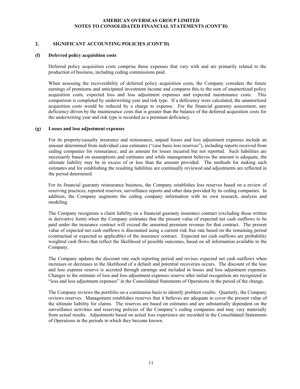#### **2. SIGNIFICANT ACCOUNTING POLICIES (CONT'D)**

#### **(f) Deferred policy acquisition costs**

Deferred policy acquisition costs comprise those expenses that vary with and are primarily related to the production of business, including ceding commissions paid.

When assessing the recoverability of deferred policy acquisition costs, the Company considers the future earnings of premiums and anticipated investment income and compares this to the sum of unamortized policy acquisition costs, expected loss and loss adjustment expenses and expected maintenance costs. This comparison is completed by underwriting year and risk type. If a deficiency were calculated, the unamortized acquisition costs would be reduced by a charge to expense. For the financial guaranty assessment, any deficiency driven by the maintenance costs that is greater than the balance of the deferred acquisition costs for the underwriting year and risk type is recorded as a premium deficiency.

#### **(g) Losses and loss adjustment expenses**

For its property/casualty insurance and reinsurance, unpaid losses and loss adjustment expenses include an amount determined from individual case estimates ("case basis loss reserves"), including reports received from ceding companies for reinsurance, and an amount for losses incurred but not reported. Such liabilities are necessarily based on assumptions and estimates and while management believes the amount is adequate, the ultimate liability may be in excess of or less than the amount provided. The methods for making such estimates and for establishing the resulting liabilities are continually reviewed and adjustments are reflected in the period determined.

For its financial guaranty reinsurance business, the Company establishes loss reserves based on a review of reserving practices, reported reserves, surveillance reports and other data provided by its ceding companies. In addition, the Company augments the ceding company information with its own research, analysis and modeling.

The Company recognizes a claim liability on a financial guaranty insurance contract (excluding those written in derivative form) when the Company estimates that the present value of expected net cash outflows to be paid under the insurance contract will exceed the unearned premium revenue for that contract. The present value of expected net cash outflows is discounted using a current risk free rate based on the remaining period (contractual or expected as applicable) of the insurance contract. Expected net cash outflows are probability weighted cash flows that reflect the likelihood of possible outcomes, based on all information available to the Company.

The Company updates the discount rate each reporting period and revises expected net cash outflows when increases or decreases in the likelihood of a default and potential recoveries occurs. The discount of the loss and loss expense reserve is accreted through earnings and included in losses and loss adjustment expenses. Changes to the estimate of loss and loss adjustment expenses reserve after initial recognition are recognized in "loss and loss adjustment expenses" in the Consolidated Statements of Operations in the period of the change.

The Company reviews the portfolio on a continuous basis to identify problem credits. Quarterly, the Company reviews reserves. Management establishes reserves that it believes are adequate to cover the present value of the ultimate liability for claims. The reserves are based on estimates and are substantially dependent on the surveillance activities and reserving policies of the Company's ceding companies and may vary materially from actual results. Adjustments based on actual loss experience are recorded in the Consolidated Statements of Operations in the periods in which they become known.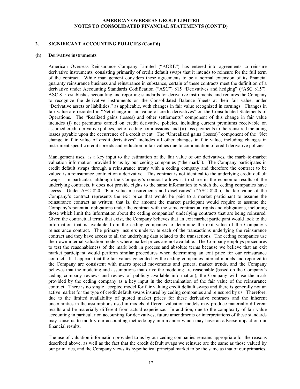#### **2. SIGNIFICANT ACCOUNTING POLICIES (Cont'd)**

#### **(h) Derivative instruments**

American Overseas Reinsurance Company Limited ("AORE") has entered into agreements to reinsure derivative instruments, consisting primarily of credit default swaps that it intends to reinsure for the full term of the contract. While management considers these agreements to be a normal extension of its financial guaranty reinsurance business and reinsurance in substance, certain of these contracts meet the definition of a derivative under Accounting Standards Codification ("ASC") 815 "Derivatives and hedging" ("ASC 815"). ASC 815 establishes accounting and reporting standards for derivative instruments, and requires the Company to recognize the derivative instruments on the Consolidated Balance Sheets at their fair value, under "Derivative assets or liabilities," as applicable, with changes in fair value recognized in earnings. Changes in fair value are recorded in "Net change in fair value of credit derivatives" on the Consolidated Statements of Operations. The "Realized gains (losses) and other settlements" component of this change in fair value includes (i) net premiums earned on credit derivative policies, including current premiums receivable on assumed credit derivative polices, net of ceding commissions, and (ii) loss payments to the reinsured including losses payable upon the occurrence of a credit event. The "Unrealized gains (losses)" component of the "Net change in fair value of credit derivatives" includes all other changes in fair value, including changes in instrument specific credit spreads and reduction in fair values due to commutation of credit derivative policies.

Management uses, as a key input to the estimation of the fair value of our derivatives, the mark–to-market valuation information provided to us by our ceding companies ("the mark"). The Company participates in credit default swaps through a reinsurance treaty with a ceding company and therefore the contract to be valued is a reinsurance contract on a derivative. This contract is not identical to the underlying credit default swaps. In particular, although the Company's contract allows it to share in the economic results of the underlying contracts, it does not provide rights to the same information to which the ceding companies have access. Under ASC 820, "Fair value measurements and disclosures" ("ASC 820"), the fair value of the Company's contract represents the exit price that would be paid to a market participant to assume the reinsurance contract as written; that is, the amount the market participant would require to assume the Company's potential obligations under the contract with the same contractual rights and obligations, including those which limit the information about the ceding companies' underlying contracts that are being reinsured. Given the contractual terms that exist, the Company believes that an exit market participant would look to the information that is available from the ceding companies to determine the exit value of the Company's reinsurance contract. The primary insurers underwrite each of the transactions underlying the reinsurance contract and they have access to all the underlying data related to the transactions. The ceding companies use their own internal valuation models where market prices are not available. The Company employs procedures to test the reasonableness of the mark both in process and absolute terms because we believe that an exit market participant would perform similar procedures when determining an exit price for our reinsurance contract. If it appears that the fair values generated by the ceding companies internal models and reported to the Company are consistent with macro spread movements and general market trends, and the Company believes that the modeling and assumptions that drive the modeling are reasonable (based on the Company's ceding company reviews and review of publicly available information), the Company will use the mark provided by the ceding company as a key input in the determination of the fair value of the reinsurance contract. There is no single accepted model for fair valuing credit default swaps and there is generally not an active market for the type of credit default swaps insured by ceding companies and reinsured by us. Therefore, due to the limited availability of quoted market prices for these derivative contracts and the inherent uncertainties in the assumptions used in models, different valuation models may produce materially different results and be materially different from actual experience. In addition, due to the complexity of fair value accounting in particular on accounting for derivatives, future amendments or interpretations of these standards may cause us to modify our accounting methodology in a manner which may have an adverse impact on our financial results.

The use of valuation information provided to us by our ceding companies remains appropriate for the reasons described above, as well as the fact that the credit default swaps we reinsure are the same as those valued by our primaries, and the Company views its hypothetical principal market to be the same as that of our primaries,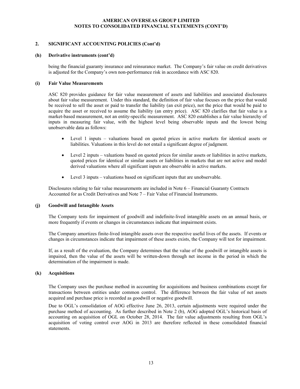#### **2. SIGNIFICANT ACCOUNTING POLICIES (Cont'd)**

#### **(h) Derivative instruments (cont'd)**

being the financial guaranty insurance and reinsurance market. The Company's fair value on credit derivatives is adjusted for the Company's own non-performance risk in accordance with ASC 820.

#### **(i) Fair Value Measurements**

ASC 820 provides guidance for fair value measurement of assets and liabilities and associated disclosures about fair value measurement. Under this standard, the definition of fair value focuses on the price that would be received to sell the asset or paid to transfer the liability (an exit price), not the price that would be paid to acquire the asset or received to assume the liability (an entry price). ASC 820 clarifies that fair value is a market-based measurement, not an entity-specific measurement. ASC 820 establishes a fair value hierarchy of inputs in measuring fair value, with the highest level being observable inputs and the lowest being unobservable data as follows:

- Level 1 inputs valuations based on quoted prices in active markets for identical assets or liabilities. Valuations in this level do not entail a significant degree of judgment.
- Level 2 inputs valuations based on quoted prices for similar assets or liabilities in active markets, quoted prices for identical or similar assets or liabilities in markets that are not active and model derived valuations where all significant inputs are observable in active markets.
- Level 3 inputs valuations based on significant inputs that are unobservable.

 Disclosures relating to fair value measurements are included in Note 6 – Financial Guaranty Contracts Accounted for as Credit Derivatives and Note 7 – Fair Value of Financial Instruments.

#### **(j) Goodwill and Intangible Assets**

The Company tests for impairment of goodwill and indefinite-lived intangible assets on an annual basis, or more frequently if events or changes in circumstances indicate that impairment exists.

The Company amortizes finite-lived intangible assets over the respective useful lives of the assets. If events or changes in circumstances indicate that impairment of these assets exists, the Company will test for impairment.

If, as a result of the evaluation, the Company determines that the value of the goodwill or intangible assets is impaired, then the value of the assets will be written-down through net income in the period in which the determination of the impairment is made.

#### **(k) Acquisitions**

The Company uses the purchase method in accounting for acquisitions and business combinations except for transactions between entities under common control. The difference between the fair value of net assets acquired and purchase price is recorded as goodwill or negative goodwill.

Due to OGL's consolidation of AOG effective June 26, 2013, certain adjustments were required under the purchase method of accounting. As further described in Note 2 (b), AOG adopted OGL's historical basis of accounting on acquisition of OGL on October 28, 2014. The fair value adjustments resulting from OGL's acquisition of voting control over AOG in 2013 are therefore reflected in these consolidated financial statements.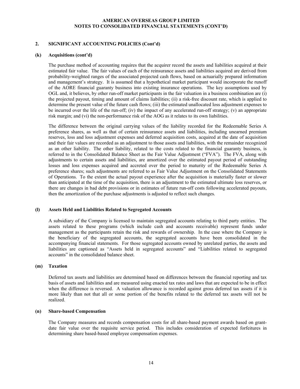#### **2. SIGNIFICANT ACCOUNTING POLICIES (Cont'd)**

#### **(k) Acquisitions (cont'd)**

The purchase method of accounting requires that the acquirer record the assets and liabilities acquired at their estimated fair value. The fair values of each of the reinsurance assets and liabilities acquired are derived from probability-weighted ranges of the associated projected cash flows, based on actuarially prepared information and management's strategy. It is assumed that a hypothetical market participant would incorporate the runoff of the AORE financial guaranty business into existing insurance operations. The key assumptions used by OGL and, it believes, by other run-off market participants in the fair valuation in a business combination are (i) the projected payout, timing and amount of claims liabilities; (ii) a risk-free discount rate, which is applied to determine the present value of the future cash flows; (iii) the estimated unallocated loss adjustment expenses to be incurred over the life of the run-off; (iv) the impact of any accelerated run-off strategy; (v) an appropriate risk margin; and (vi) the non-performance risk of the AOG as it relates to its own liabilities.

The difference between the original carrying values of the liability recorded for the Redeemable Series A preference shares, as well as that of certain reinsurance assets and liabilities, including unearned premium reserves, loss and loss adjustment expenses and deferred acquisition costs, acquired at the date of acquisition and their fair values are recorded as an adjustment to those assets and liabilities, with the remainder recognized as an other liability. The other liability, related to the costs related to the financial guaranty business, is referred to in the Consolidated Balance Sheet as the Fair Value Adjustment ("FVA"). The FVA, along with adjustments to certain assets and liabilities, are amortized over the estimated payout period of outstanding losses and loss expenses acquired and accreted over the period to maturity of the Redeemable Series A preference shares; such adjustments are referred to as Fair Value Adjustment on the Consolidated Statements of Operations. To the extent the actual payout experience after the acquisition is materially faster or slower than anticipated at the time of the acquisition, there is an adjustment to the estimated ultimate loss reserves, or there are changes in bad debt provisions or in estimates of future run-off costs following accelerated payouts, then the amortization of the purchase adjustments is adjusted to reflect such changes.

#### **(l) Assets Held and Liabilities Related to Segregated Accounts**

A subsidiary of the Company is licensed to maintain segregated accounts relating to third party entities. The assets related to these programs (which include cash and accounts receivable) represent funds under management as the participants retain the risk and rewards of ownership. In the case where the Company is the beneficiary of the segregated accounts, the segregated accounts have been consolidated in the accompanying financial statements. For those segregated accounts owned by unrelated parties, the assets and liabilities are captioned as "Assets held in segregated accounts" and "Liabilities related to segregated accounts" in the consolidated balance sheet.

#### **(m) Taxation**

Deferred tax assets and liabilities are determined based on differences between the financial reporting and tax basis of assets and liabilities and are measured using enacted tax rates and laws that are expected to be in effect when the difference is reversed. A valuation allowance is recorded against gross deferred tax assets if it is more likely than not that all or some portion of the benefits related to the deferred tax assets will not be realized.

#### **(n) Share-based Compensation**

The Company measures and records compensation costs for all share-based payment awards based on grantdate fair value over the requisite service period. This includes consideration of expected forfeitures in determining share based-based employee compensation expenses.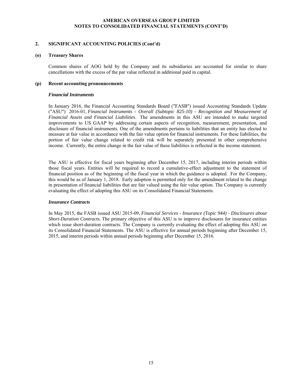#### **2. SIGNIFICANT ACCOUNTING POLICIES (Cont'd)**

#### **(o) Treasury Shares**

 Common shares of AOG held by the Company and its subsidiaries are accounted for similar to share cancellations with the excess of the par value reflected in additional paid in capital.

#### **(p) Recent accounting pronouncements**

#### *Financial Instruments*

In January 2016, the Financial Accounting Standards Board ("FASB") issued Accounting Standards Update ("ASU") 2016-01, *Financial Instruments - Overall (Subtopic 825-10) - Recognition and Measurement of Financial Assets and Financial Liabilities*. The amendments in this ASU are intended to make targeted improvements to US GAAP by addressing certain aspects of recognition, measurement, presentation, and disclosure of financial instruments. One of the amendments pertains to liabilities that an entity has elected to measure at fair value in accordance with the fair value option for financial instruments. For these liabilities, the portion of fair value change related to credit risk will be separately presented in other comprehensive income. Currently, the entire change in the fair value of these liabilities is reflected in the income statement.

The ASU is effective for fiscal years beginning after December 15, 2017, including interim periods within those fiscal years. Entities will be required to record a cumulative-effect adjustment to the statement of financial position as of the beginning of the fiscal year in which the guidance is adopted. For the Company, this would be as of January 1, 2018. Early adoption is permitted only for the amendment related to the change in presentation of financial liabilities that are fair valued using the fair value option. The Company is currently evaluating the effect of adopting this ASU on its Consolidated Financial Statements.

#### *Insurance Contracts*

In May 2015, the FASB issued ASU 2015-09, *Financial Services - Insurance (Topic 944) - Disclosures about Short-Duration Contracts.* The primary objective of this ASU is to improve disclosures for insurance entities which issue short-duration contracts. The Company is currently evaluating the effect of adopting this ASU on its Consolidated Financial Statements. The ASU is effective for annual periods beginning after December 15, 2015, and interim periods within annual periods beginning after December 15, 2016.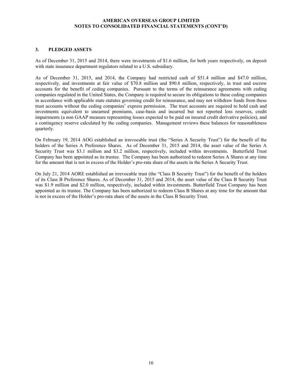#### **3. PLEDGED ASSETS**

As of December 31, 2015 and 2014, there were investments of \$1.6 million, for both years respectively, on deposit with state insurance department regulators related to a U.S. subsidiary.

As of December 31, 2015, and 2014, the Company had restricted cash of \$51.4 million and \$47.0 million, respectively, and investments at fair value of \$70.8 million and \$90.8 million, respectively, in trust and escrow accounts for the benefit of ceding companies. Pursuant to the terms of the reinsurance agreements with ceding companies regulated in the United States, the Company is required to secure its obligations to these ceding companies in accordance with applicable state statutes governing credit for reinsurance, and may not withdraw funds from these trust accounts without the ceding companies' express permission. The trust accounts are required to hold cash and investments equivalent to unearned premiums, case-basis and incurred but not reported loss reserves, credit impairments (a non GAAP measure representing losses expected to be paid on insured credit derivative policies), and a contingency reserve calculated by the ceding companies. Management reviews these balances for reasonableness quarterly.

On February 19, 2014 AOG established an irrevocable trust (the "Series A Security Trust") for the benefit of the holders of the Series A Preference Shares. As of December 31, 2015 and 2014, the asset value of the Series A Security Trust was \$3.1 million and \$3.2 million, respectively, included within investments. Butterfield Trust Company has been appointed as its trustee. The Company has been authorized to redeem Series A Shares at any time for the amount that is not in excess of the Holder's pro-rata share of the assets in the Series A Security Trust.

On July 21, 2014 AORE established an irrevocable trust (the "Class B Security Trust") for the benefit of the holders of its Class B Preference Shares. As of December 31, 2015 and 2014, the asset value of the Class B Security Trust was \$1.9 million and \$2.0 million, respectively, included within investments. Butterfield Trust Company has been appointed as its trustee. The Company has been authorized to redeem Class B Shares at any time for the amount that is not in excess of the Holder's pro-rata share of the assets in the Class B Security Trust.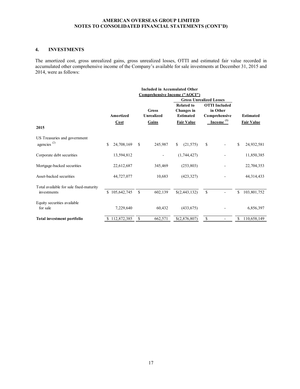#### **4. INVESTMENTS**

The amortized cost, gross unrealized gains, gross unrealized losses, OTTI and estimated fair value recorded in accumulated other comprehensive income of the Company's available for sale investments at December 31, 2015 and 2014, were as follows:

|                                                         |                   | <b>Included in Accumulated Other</b> |                                                            |             |                                                   |                   |
|---------------------------------------------------------|-------------------|--------------------------------------|------------------------------------------------------------|-------------|---------------------------------------------------|-------------------|
|                                                         |                   | Comprehensive Income ("AOCI")        |                                                            |             |                                                   |                   |
|                                                         |                   |                                      | <b>Gross Unrealized Losses</b>                             |             |                                                   |                   |
|                                                         | <b>Amortized</b>  | Gross<br><b>Unrealized</b>           | <b>Related to</b><br><b>Changes</b> in<br><b>Estimated</b> |             | <b>OTTI</b> Included<br>in Other<br>Comprehensive | <b>Estimated</b>  |
| 2015                                                    | Cost              | Gains                                | <b>Fair Value</b>                                          |             | $Income(1)$                                       | <b>Fair Value</b> |
| US Treasuries and government<br>agencies <sup>(2)</sup> | \$<br>24,708,169  | \$<br>245,987                        | \$<br>(21, 575)                                            | \$          |                                                   | \$<br>24,932,581  |
| Corporate debt securities                               | 13,594,812        |                                      | (1,744,427)                                                |             |                                                   | 11,850,385        |
| Mortgage-backed securities                              | 22,612,687        | 345,469                              | (253, 803)                                                 |             |                                                   | 22,704,353        |
| Asset-backed securities                                 | 44,727,077        | 10,683                               | (423, 327)                                                 |             |                                                   | 44, 314, 433      |
| Total available for sale fixed-maturity                 |                   |                                      |                                                            |             |                                                   |                   |
| investments                                             | \$<br>105,642,745 | \$<br>602,139                        | \$(2,443,132)                                              | $\mathbb S$ |                                                   | \$<br>103,801,752 |
| Equity securities available<br>for sale                 | 7,229,640         | 60,432                               | (433, 675)                                                 |             |                                                   | 6,856,397         |
| <b>Total investment portfolio</b>                       | \$112,872,385     | \$<br>662,571                        | \$(2,876,807)                                              | \$          |                                                   | 110,658,149       |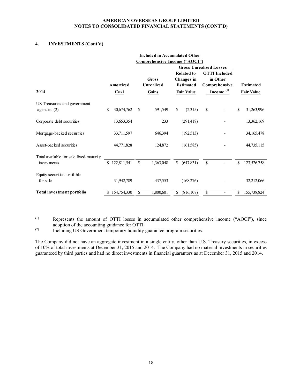#### **4. INVESTMENTS (Cont'd)**

|                                                |                   | <b>Included in Accumulated Other</b> |                                |                      |                   |
|------------------------------------------------|-------------------|--------------------------------------|--------------------------------|----------------------|-------------------|
|                                                |                   | Comprehensive Income ("AOCI")        |                                |                      |                   |
|                                                |                   |                                      | <b>Gross Unrealized Losses</b> |                      |                   |
|                                                |                   |                                      | <b>Related to</b>              | <b>OTTI</b> Included |                   |
|                                                |                   | <b>Gross</b>                         | <b>Changes</b> in              | in Other             |                   |
|                                                | Amortize d        | Unrealized                           | <b>Estimated</b>               | Comprehensive        | <b>Estimated</b>  |
| 2014                                           | $\cos t$          | Gains                                | <b>Fair Value</b>              | Income $(1)$         | <b>Fair Value</b> |
| US Treasuries and government<br>agencies $(2)$ | \$<br>30,674,762  | \$<br>591,549                        | \$<br>(2,315)                  | \$                   | \$<br>31,263,996  |
|                                                |                   |                                      |                                |                      |                   |
| Corporate debt securities                      | 13,653,354        | 233                                  | (291, 418)                     |                      | 13,362,169        |
| Mortgage-backed securities                     | 33,711,597        | 646,394                              | (192, 513)                     |                      | 34, 165, 478      |
| Asset-backed securities                        | 44,771,828        | 124,872                              | (161, 585)                     |                      | 44,735,115        |
| Total available for sale fixed-maturity        |                   |                                      |                                |                      |                   |
| investments                                    | \$<br>122,811,541 | \$<br>1,363,048                      | \$<br>(647, 831)               | \$                   | \$<br>123,526,758 |
| Equity securities available<br>for sale        | 31,942,789        | 437,553                              | (168,276)                      |                      | 32,212,066        |
| <b>Total investment portfolio</b>              | 154,754,330       | \$<br>1,800,601                      | \$<br>(816, 107)               | \$                   | \$<br>155,738,824 |

(1) Represents the amount of OTTI losses in accumulated other comprehensive income ("AOCI"), since adoption of the accounting guidance for OTTI.

(2) Including US Government temporary liquidity guarantee program securities.

The Company did not have an aggregate investment in a single entity, other than U.S. Treasury securities, in excess of 10% of total investments at December 31, 2015 and 2014. The Company had no material investments in securities guaranteed by third parties and had no direct investments in financial guarantors as at December 31, 2015 and 2014.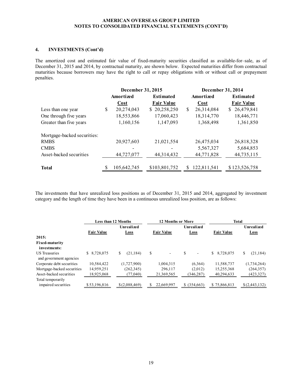#### **4. INVESTMENTS (Cont'd)**

The amortized cost and estimated fair value of fixed-maturity securities classified as available-for–sale, as of December 31, 2015 and 2014, by contractual maturity, are shown below. Expected maturities differ from contractual maturities because borrowers may have the right to call or repay obligations with or without call or prepayment penalties.

|                             | December 31, 2015 |                   |               | December 31, 2014 |    |                   |
|-----------------------------|-------------------|-------------------|---------------|-------------------|----|-------------------|
|                             | Amortized         | <b>Estimated</b>  |               | Amortized         |    | <b>Estimated</b>  |
|                             | Cost              | <b>Fair Value</b> |               | <b>Cost</b>       |    | <b>Fair Value</b> |
| Less than one year          | \$<br>20,274,043  | \$20,258,250      | <sup>\$</sup> | 26,314,084        | S. | 26,479,841        |
| One through five years      | 18,553,866        | 17,060,423        |               | 18,314,770        |    | 18,446,771        |
| Greater than five years     | 1,160,156         | 1,147,093         |               | 1,368,498         |    | 1,361,850         |
| Mortgage-backed securities: |                   |                   |               |                   |    |                   |
| <b>RMBS</b>                 | 20,927,603        | 21,021,554        |               | 26,475,034        |    | 26,818,328        |
| <b>CMBS</b>                 |                   |                   |               | 5,567,327         |    | 5,684,853         |
| Asset-backed securities     | 44,727,077        | 44,314,432        |               | 44,771,828        |    | 44,735,115        |
| <b>Total</b>                | \$<br>105,642,745 | \$103,801,752     | S             | 122,811,541       |    | \$123,526,758     |

The investments that have unrealized loss positions as of December 31, 2015 and 2014, aggregated by investment category and the length of time they have been in a continuous unrealized loss position, are as follows:

|                                                 |                   | <b>Less than 12 Months</b> | <b>12 Months or More</b>       |                                | <b>Total</b>      |                |  |  |  |
|-------------------------------------------------|-------------------|----------------------------|--------------------------------|--------------------------------|-------------------|----------------|--|--|--|
|                                                 |                   | Unrealized                 |                                | Unrealized                     |                   | Unrealized     |  |  |  |
|                                                 | <b>Fair Value</b> | <b>Loss</b>                | <b>Fair Value</b>              | Loss                           | <b>Fair Value</b> | <b>Loss</b>    |  |  |  |
| 2015:                                           |                   |                            |                                |                                |                   |                |  |  |  |
| <b>Fixed-maturity</b>                           |                   |                            |                                |                                |                   |                |  |  |  |
| investments:                                    |                   |                            |                                |                                |                   |                |  |  |  |
| <b>US</b> Treasuries<br>and government agencies | \$ 8,728,075      | (21, 184)<br>\$            | \$<br>$\overline{\phantom{a}}$ | \$<br>$\overline{\phantom{a}}$ | 8,728,075<br>S.   | (21, 184)<br>S |  |  |  |
| Corporate debt securities                       | 10,584,422        | (1,727,900)                | 1,004,315                      | (6,364)                        | 11,588,737        | (1,734,264)    |  |  |  |
| Mortgage-backed securities                      | 14,959,251        | (262, 345)                 | 296.117                        | (2,012)                        | 15,255,368        | (264, 357)     |  |  |  |
| Asset-backed securities                         | 18,925,068        | (77,040)                   | 21,369,565                     | (346, 287)                     | 40,294,633        | (423, 327)     |  |  |  |
| Total temporarily                               |                   |                            |                                |                                |                   |                |  |  |  |
| impaired securities                             | \$53,196,816      | \$(2,088,469)              | 22,669,997                     | $$$ (354,663)                  | \$75,866,813      | \$(2,443,132)  |  |  |  |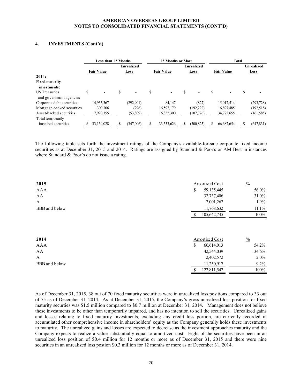#### **4. INVESTMENTS (Cont'd)**

|                                                 |   | <b>Less than 12 Months</b> |                   | 12 Months or More              |                   | <b>Total</b>      |   |                   |
|-------------------------------------------------|---|----------------------------|-------------------|--------------------------------|-------------------|-------------------|---|-------------------|
|                                                 |   |                            | <b>Unrealized</b> |                                | <b>Unrealized</b> |                   |   | <b>Unrealized</b> |
|                                                 |   | <b>Fair Value</b>          | Loss              | <b>Fair Value</b>              | Loss              | <b>Fair Value</b> |   | Loss              |
| 2014:                                           |   |                            |                   |                                |                   |                   |   |                   |
| <b>Fixed-maturity</b>                           |   |                            |                   |                                |                   |                   |   |                   |
| investments:                                    |   |                            |                   |                                |                   |                   |   |                   |
| <b>US</b> Treasuries<br>and government agencies | S | ۰                          | \$<br>$\sim$      | \$<br>$\overline{\phantom{0}}$ | \$                | \$                | S |                   |
| Corporate debt securities                       |   | 14,933,367                 | (292, 901)        | 84,147                         | (827)             | 15,017,514        |   | (293, 728)        |
| Mortgage-backed securities                      |   | 300,306                    | (296)             | 16,597,179                     | (192, 222)        | 16,897,485        |   | (192, 518)        |
| Asset-backed securities                         |   | 17,920,355                 | (53,809)          | 16,852,300                     | (107,776)         | 34,772,655        |   | (161, 585)        |
| Total temporarily                               |   |                            |                   |                                |                   |                   |   |                   |
| impaired securities                             |   | 33,154,028                 | (347,006)         | 33,533,626                     | (300, 825)        | 66,687,654        |   | (647, 831)        |

The following table sets forth the investment ratings of the Company's available-for-sale corporate fixed income securities as at December 31, 2015 and 2014. Ratings are assigned by Standard & Poor's or AM Best in instances where Standard & Poor's do not issue a rating.

| 2015          | Amortized Cost     | $\frac{0}{0}$ |
|---------------|--------------------|---------------|
| AAA           | \$<br>59, 135, 445 | 56.0%         |
| AA            | 32,737,406         | 31.0%         |
| A             | 2,001,262          | 1.9%          |
| BBB and below | 11,768,632         | 11.1%         |
|               | 105,642,745<br>\$. | 100%          |
| 2014          | Amortized Cost     | $\frac{0}{0}$ |
| AAA           | 66,614,013<br>\$   | 54.2%         |
| AA            | 42,544,039         | 34.6%         |
| A             | 2,402,572          | $2.0\%$       |
| BBB and below | 11,250,917         | $9.2\%$       |
|               | 122,811,542        | 100%          |

As of December 31, 2015, 38 out of 70 fixed maturity securities were in unrealized loss positions compared to 33 out of 75 as of December 31, 2014. As at December 31, 2015, the Company's gross unrealized loss position for fixed maturity securties was \$1.5 million compared to \$0.7 million at December 31, 2014. Management does not believe these investments to be other than temporarily impaired, and has no intention to sell the securities. Unrealized gains and losses relating to fixed maturity investments, excluding any credit loss portion, are currently recorded in accumulated other comprehensive income in shareholders' equity as the Company generally holds these investments to maturity. The unrealized gains and losses are expected to decrease as the investment approaches maturity and the Company expects to realize a value substantially equal to amortized cost. Eight of the securities have been in an unrealized loss position of \$0.4 million for 12 months or more as of December 31, 2015 and there were nine securities in an unrealized loss postion \$0.3 million for 12 months or more as of December 31, 2014.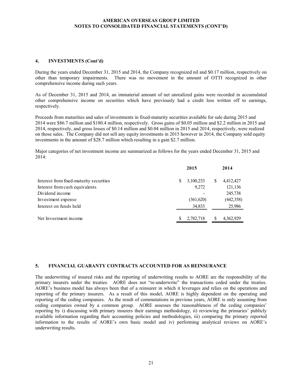#### **4. INVESTMENTS (Cont'd)**

During the years ended December 31, 2015 and 2014, the Company recognized nil and \$0.17 million, respectively on other than temporary impairments. There was no movement in the amount of OTTI recognized in other comprehensive income during such years.

As of December 31, 2015 and 2014, an immaterial amount of net unrealized gains were recorded in accumulated other comprehensive income on securities which have previously had a credit loss written off to earnings, respectively.

Proceeds from maturities and sales of investments in fixed-maturity securities available for sale during 2015 and 2014 were \$86.7 million and \$180.4 million, respectively. Gross gains of \$0.05 million and \$2.2 million in 2015 and 2014, respectively, and gross losses of \$0.14 million and \$0.04 million in 2015 and 2014, respectively, were realized on those sales. The Company did not sell any equity investments in 2015 however in 2014, the Company sold equity investments in the amount of \$28.7 million which resulting in a gain \$2.7 million.

Major categories of net investment income are summarized as follows for the years ended December 31, 2015 and 2014:

|                                         |   | 2015       |    | 2014       |
|-----------------------------------------|---|------------|----|------------|
| Interest from fixed-maturity securities | S | 3,100,233  | \$ | 4,412,427  |
| Interest from cash equivalents          |   | 9,272      |    | 121,136    |
| Dividend income                         |   |            |    | 245,738    |
| Investment expense                      |   | (361, 620) |    | (442, 358) |
| Interest on funds held                  |   | 34,833     |    | 25,986     |
| Net Investment income                   |   | 2,782,718  | S  | 4,362,929  |
|                                         |   |            |    |            |

#### **5. FINANCIAL GUARANTY CONTRACTS ACCOUNTED FOR AS REINSURANCE**

The underwriting of insured risks and the reporting of underwriting results to AORE are the responsibility of the primary insurers under the treaties. AORE does not "re-underwrite" the transactions ceded under the treaties. AORE's business model has always been that of a reinsurer in which it leverages and relies on the operations and reporting of the primary insurers. As a result of this model, AORE is highly dependent on the operating and reporting of the ceding companies. As the result of commutations in previous years, AORE is only assuming from ceding companies owned by a common group. AORE assesses the reasonableness of the ceding companies' reporting by i) discussing with primary insurers their earnings methodology, ii) reviewing the primaries' publicly available information regarding their accounting policies and methodologies, iii) comparing the primary reported information to the results of AORE's own basic model and iv) performing analytical reviews on AORE's underwriting results.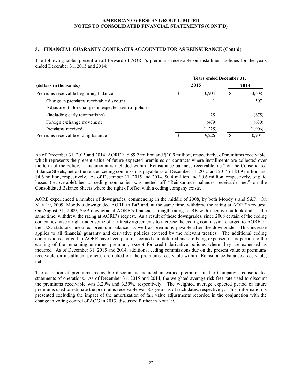#### **5. FINANCIAL GUARANTY CONTRACTS ACCOUNTED FOR AS REINSURANCE (Cont'd)**

The following tables present a roll forward of AORE's premiums receivable on installment policies for the years ended December 31, 2015 and 2014:

|                                                      | <b>Years ended December 31,</b> |         |      |         |  |  |
|------------------------------------------------------|---------------------------------|---------|------|---------|--|--|
| (dollars in thousands)                               |                                 | 2015    | 2014 |         |  |  |
| Premiums receivable beginning balance                | <sup>S</sup>                    | 10.904  | S    | 13,608  |  |  |
| Change in premiums receivable discount               |                                 |         |      | 507     |  |  |
| Adjustments for changes in expected term of policies |                                 |         |      |         |  |  |
| (including early terminations)                       |                                 | 25      |      | (675)   |  |  |
| Foreign exchange movement                            |                                 | (479)   |      | (630)   |  |  |
| Premiums received                                    |                                 | (1,225) |      | (1,906) |  |  |
| Premiums receivable ending balance                   |                                 | 9,226   |      | 10,904  |  |  |

As of December 31, 2015 and 2014, AORE had \$9.2 million and \$10.9 million, respectively, of premiums receivable, which represents the present value of future expected premiums on contracts where installments are collected over the term of the policy. This amount is included within "Reinsurance balances receivable, net" on the Consolidated Balance Sheets, net of the related ceding commissions payable as of December 31, 2015 and 2014 of \$3.9 million and \$4.6 million, respectively. As of December 31, 2015 and 2014, \$0.4 million and \$0.6 million, respectively, of paid losses (recoverable)/due to ceding companies was netted off "Reinsurance balances receivable, net" on the Consolidated Balance Sheets where the right of offset with a ceding company exists.

AORE experienced a number of downgrades, commencing in the middle of 2008, by both Moody's and S&P. On May 19, 2009, Moody's downgraded AORE to Ba3 and, at the same time, withdrew the rating at AORE's request. On August 31, 2009, S&P downgraded AORE's financial strength rating to BB with negative outlook and, at the same time, withdrew the rating at AORE's request. As a result of these downgrades, since 2008 certain of the ceding companies have a right under some of our treaty agreements to increase the ceding commission charged to AORE on the U.S. statutory unearned premium balance, as well as premiums payable after the downgrade. This increase applies to all financial guaranty and derivative policies covered by the relevant treaties. The additional ceding commissions charged to AORE have been paid or accrued and deferred and are being expensed in proportion to the earning of the remaining unearned premium, except for credit derivative policies where they are expensed as incurred. As of December 31, 2015 and 2014, additional ceding commissions due on the present value of premiums receivable on installment policies are netted off the premiums receivable within "Reinsurance balances receivable, net".

The accretion of premiums receivable discount is included in earned premiums in the Company's consolidated statements of operations. As of December 31, 2015 and 2014, the weighted average risk-free rate used to discount the premiums receivable was 3.29% and 3.39%, respectively. The weighted average expected period of future premiums used to estimate the premiums receivable was 8.8 years as of such dates, respectively. This information is presented excluding the impact of the amortization of fair value adjustments recorded in the conjunction with the change in voting control of AOG in 2013, discussed further in Note 19.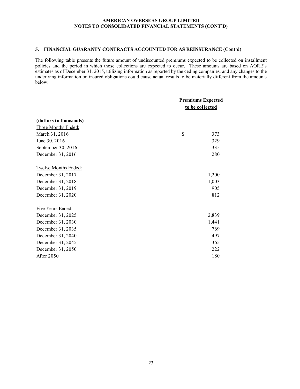#### **5. FINANCIAL GUARANTY CONTRACTS ACCOUNTED FOR AS REINSURANCE (Cont'd)**

The following table presents the future amount of undiscounted premiums expected to be collected on installment policies and the period in which those collections are expected to occur. These amounts are based on AORE's estimates as of December 31, 2015, utilizing information as reported by the ceding companies, and any changes to the underlying information on insured obligations could cause actual results to be materially different from the amounts below:

|                             | <b>Premiums Expected</b> |
|-----------------------------|--------------------------|
|                             | to be collected          |
| (dollars in thousands)      |                          |
| Three Months Ended:         |                          |
| March 31, 2016              | \$<br>373                |
| June 30, 2016               | 329                      |
| September 30, 2016          | 335                      |
| December 31, 2016           | 280                      |
| <b>Twelve Months Ended:</b> |                          |
| December 31, 2017           | 1,200                    |
| December 31, 2018           | 1,003                    |
| December 31, 2019           | 905                      |
| December 31, 2020           | 812                      |
| Five Years Ended:           |                          |
| December 31, 2025           | 2,839                    |
| December 31, 2030           | 1,441                    |
| December 31, 2035           | 769                      |
| December 31, 2040           | 497                      |
| December 31, 2045           | 365                      |
| December 31, 2050           | 222                      |
| After 2050                  | 180                      |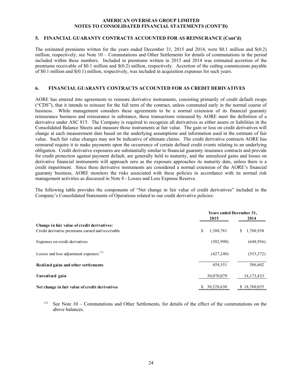#### **5. FINANCIAL GUARANTY CONTRACTS ACCOUNTED FOR AS REINSURANCE (Cont'd)**

The estimated premiums written for the years ended December 31, 2015 and 2014, were \$0.1 million and \$(0.2) million, respectively; see Note 10 – Commutations and Other Settlements for details of commutations in the period included within these numbers. Included in premiums written in 2015 and 2014 was estimated accretion of the premiums receivable of \$0.1 million and \$(0.2) million, respectively. Accretion of the ceding commissions payable of \$0.1 million and \$(0.1) million, respectively, was included in acquisition expenses for such years.

#### **6. FINANCIAL GUARANTY CONTRACTS ACCOUNTED FOR AS CREDIT DERIVATIVES**

AORE has entered into agreements to reinsure derivative instruments, consisting primarily of credit default swaps ("CDS"), that it intends to reinsure for the full term of the contract, unless commuted early in the normal course of business. While management considers these agreements to be a normal extension of its financial guaranty reinsurance business and reinsurance in substance, these transactions reinsured by AORE meet the definition of a derivative under ASC 815. The Company is required to recognize all derivatives as either assets or liabilities in the Consolidated Balance Sheets and measure those instruments at fair value. The gain or loss on credit derivatives will change at each measurement date based on the underlying assumptions and information used in the estimate of fair value. Such fair value changes may not be indicative of ultimate claims. The credit derivative contracts AORE has reinsured require it to make payments upon the occurrence of certain defined credit events relating to an underlying obligation. Credit derivative exposures are substantially similar to financial guaranty insurance contracts and provide for credit protection against payment default, are generally held to maturity, and the unrealized gains and losses on derivative financial instruments will approach zero as the exposure approaches its maturity date, unless there is a credit impairment. Since these derivative instruments are considered a normal extension of the AORE's financial guaranty business, AORE monitors the risks associated with these policies in accordance with its normal risk management activities as discussed in Note 8 - Losses and Loss Expense Reserve.

The following table provides the components of "Net change in fair value of credit derivatives" included in the Company's Consolidated Statements of Operations related to our credit derivative policies:

|                                                    |                 | <b>Years ended December 31,</b> |  |  |  |  |  |
|----------------------------------------------------|-----------------|---------------------------------|--|--|--|--|--|
|                                                    | 2015            | 2014                            |  |  |  |  |  |
| Change in fair value of credit derivatives:        |                 |                                 |  |  |  |  |  |
| Credit derivative premiums earned and receivable   | \$<br>1,388,781 | 1,788,930<br>S.                 |  |  |  |  |  |
| Expenses on credit derivatives                     | (502,990)       | (648,956)                       |  |  |  |  |  |
| Losses and loss adjustment expenses <sup>(1)</sup> | (427, 240)      | (553,372)                       |  |  |  |  |  |
| Realized gains and other settlements               | 458,551         | 586,602                         |  |  |  |  |  |
| Unrealized gain                                    | 30.070.079      | 18, 173, 433                    |  |  |  |  |  |
| Net change in fair value of credit derivatives     | 30.528.630      | \$18,760,035                    |  |  |  |  |  |

(1) See Note 10 – Commutations and Other Settlements, for details of the effect of the commutations on the above balances.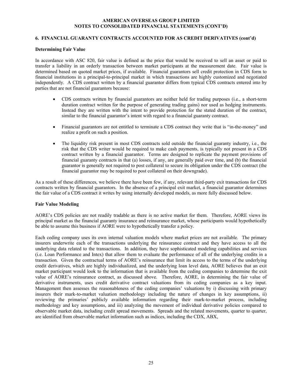#### **6. FINANCIAL GUARANTY CONTRACTS ACCOUNTED FOR AS CREDIT DERIVATIVES (cont'd)**

#### **Determining Fair Value**

In accordance with ASC 820, fair value is defined as the price that would be received to sell an asset or paid to transfer a liability in an orderly transaction between market participants at the measurement date. Fair value is determined based on quoted market prices, if available. Financial guarantors sell credit protection in CDS form to financial institutions in a principal-to-principal market in which transactions are highly customized and negotiated independently. A CDS contract written by a financial guarantor differs from typical CDS contracts entered into by parties that are not financial guarantors because:

- CDS contracts written by financial guarantors are neither held for trading purposes (i.e., a short-term duration contract written for the purpose of generating trading gains) nor used as hedging instruments. Instead they are written with the intent to provide protection for the stated duration of the contract, similar to the financial guarantor's intent with regard to a financial guaranty contract.
- Financial guarantors are not entitled to terminate a CDS contract they write that is "in-the-money" and realize a profit on such a position.
- The liquidity risk present in most CDS contracts sold outside the financial guaranty industry, i.e., the risk that the CDS writer would be required to make cash payments, is typically not present in a CDS contract written by a financial guarantor. Terms are designed to replicate the payment provisions of financial guaranty contracts in that (a) losses, if any, are generally paid over time, and (b) the financial guarantor is generally not required to post collateral to secure its obligation under the CDS contract (the financial guarantor may be required to post collateral on their downgrade).

As a result of these differences, we believe there have been few, if any, relevant third-party exit transactions for CDS contracts written by financial guarantors. In the absence of a principal exit market, a financial guarantor determines the fair value of a CDS contract it writes by using internally developed models, as more fully discussed below.

#### **Fair Value Modeling**

AORE's CDS policies are not readily tradable as there is no active market for them. Therefore, AORE views its principal market as the financial guaranty insurance and reinsurance market, whose participants would hypothetically be able to assume this business if AORE were to hypothetically transfer a policy.

Each ceding company uses its own internal valuation models where market prices are not available. The primary insurers underwrite each of the transactions underlying the reinsurance contract and they have access to all the underlying data related to the transactions. In addition, they have sophisticated modeling capabilities and services (i.e. Loan Performance and Intex) that allow them to evaluate the performance of all of the underlying credits in a transaction. Given the contractual terms of AORE's reinsurance that limit its access to the terms of the underlying credit derivatives, which are highly individualized, and the underlying loan level data, AORE believes that an exit market participant would look to the information that is available from the ceding companies to determine the exit value of AORE's reinsurance contract, as discussed above. Therefore, AORE, in determining the fair value of derivative instruments, uses credit derivative contract valuations from its ceding companies as a key input. Management then assesses the reasonableness of the ceding companies' valuations by i) discussing with primary insurers their mark-to-market valuation methodology including the nature of changes in key assumptions, ii) reviewing the primaries' publicly available information regarding their mark-to-market process, including methodology and key assumptions, and iii) analyzing the movement of individual derivative policies compared to observable market data, including credit spread movements. Spreads and the related movements, quarter to quarter, are identified from observable market information such as indices, including the CDX, ABX,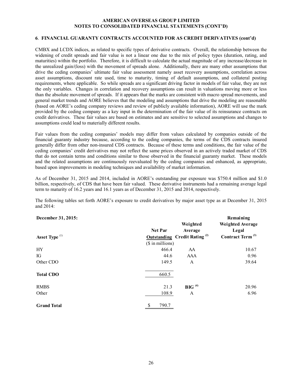#### **6**. **FINANCIAL GUARANTY CONTRACTS ACCOUNTED FOR AS CREDIT DERIVATIVES (cont'd)**

CMBX and LCDX indices, as related to specific types of derivative contracts. Overall, the relationship between the widening of credit spreads and fair value is not a linear one due to the mix of policy types (duration, rating, and maturities) within the portfolio. Therefore, it is difficult to calculate the actual magnitude of any increase/decrease in the unrealized gain/(loss) with the movement of spreads alone. Additionally, there are many other assumptions that drive the ceding companies' ultimate fair value assessment namely asset recovery assumptions, correlation across asset assumptions, discount rate used, time to maturity, timing of default assumptions, and collateral posting requirements, where applicable. So while spreads are a significant driving factor in models of fair value, they are not the only variables. Changes in correlation and recovery assumptions can result in valuations moving more or less than the absolute movement of spreads. If it appears that the marks are consistent with macro spread movements, and general market trends and AORE believes that the modeling and assumptions that drive the modeling are reasonable (based on AORE's ceding company reviews and review of publicly available information), AORE will use the mark provided by the ceding company as a key input in the determination of the fair value of its reinsurance contracts on credit derivatives. These fair values are based on estimates and are sensitive to selected assumptions and changes to assumptions could lead to materially different results.

Fair values from the ceding companies' models may differ from values calculated by companies outside of the financial guaranty industry because, according to the ceding companies, the terms of the CDS contracts insured generally differ from other non-insured CDS contracts. Because of these terms and conditions, the fair value of the ceding companies' credit derivatives may not reflect the same prices observed in an actively traded market of CDS that do not contain terms and conditions similar to those observed in the financial guaranty market. These models and the related assumptions are continuously reevaluated by the ceding companies and enhanced, as appropriate, based upon improvements in modeling techniques and availability of market information.

As of December 31, 2015 and 2014, included in AORE's outstanding par exposure was \$750.4 million and \$1.0 billion, respectively, of CDS that have been fair valued. These derivative instruments had a remaining average legal term to maturity of 16.2 years and 16.1 years as of December 31, 2015 and 2014, respectively.

The following tables set forth AORE's exposure to credit derivatives by major asset type as at December 31, 2015 and 2014:

#### **December 31, 2015:** Remaining

| Asset Type <sup>(1)</sup>   | <b>Net Par</b><br><b>Outstanding</b><br>(\$ in millions) | Weighted<br>Average<br><b>Credit Rating</b> <sup>(2)</sup> | Weighted Average<br>Legal<br>Contract Term <sup>(3)</sup> |
|-----------------------------|----------------------------------------------------------|------------------------------------------------------------|-----------------------------------------------------------|
| HY<br>IG                    | 466.4<br>44.6                                            | AA<br><b>AAA</b>                                           | 10.67<br>0.96                                             |
| Other CDO                   | 149.5                                                    | A                                                          | 39.64                                                     |
| <b>Total CDO</b>            | 660.5                                                    |                                                            |                                                           |
| <b>RMBS</b>                 | 21.3                                                     | BIG <sup>(4)</sup>                                         | 20.96                                                     |
| Other<br><b>Grand Total</b> | 108.9<br>790.7<br>\$                                     | A                                                          | 6.96                                                      |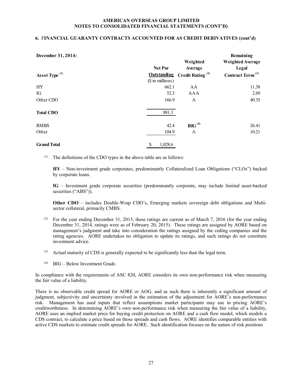#### **6.** F**INANCIAL GUARANTY CONTRACTS ACCOUNTED FOR AS CREDIT DERIVATIVES (cont'd)**

| December 31, 2014:        |                    | Weighted                     | Remaining<br>Weighted Average |
|---------------------------|--------------------|------------------------------|-------------------------------|
|                           | <b>Net Par</b>     | Average                      | Legal                         |
| Asset Type <sup>(1)</sup> | <b>Outstanding</b> | Credit Rating <sup>(2)</sup> | Contract Term <sup>(3)</sup>  |
|                           | $($in$ millions)   |                              |                               |
| HY                        | 662.1              | AA                           | 11.38                         |
| IG                        | 52.3               | AAA                          | 2.69                          |
| Other CDO                 | 166.9              | A                            | 40.35                         |
| <b>Total CDO</b>          | 881.3              |                              |                               |
| <b>RMBS</b>               | 42.4               | BIG <sup>(4)</sup>           | 26.41                         |
| Other                     | 104.9              | A                            | 10.21                         |
| <b>Grand Total</b>        | 1,028.6<br>\$      |                              |                               |

 $(1)$  The definitions of the CDO types in the above table are as follows:

**HY** – Non-investment grade corporates, predominantly Collateralized Loan Obligations ("CLOs") backed by corporate loans.

**IG** – Investment grade corporate securities (predominantly corporate, may include limited asset-backed securities ("ABS")).

Other CDO – includes Double-Wrap CDO's, Emerging markets sovereign debt obligations and Multisector collateral, primarily CMBS.

- (2) For the year ending December 31, 2015, these ratings are current as of March 7, 2016 (for the year ending December 31, 2014, ratings were as of February 20, 2015). These ratings are assigned by AORE based on management's judgment and take into consideration the ratings assigned by the ceding companies and the rating agencies. AORE undertakes no obligation to update its ratings, and such ratings do not constitute investment advice.
- $^{(3)}$  Actual maturity of CDS is generally expected to be significantly less than the legal term.
- (4) BIG Below Investment Grade.

In compliance with the requirements of ASC 820, AORE considers its own non-performance risk when measuring the fair value of a liability.

There is no observable credit spread for AORE or AOG, and as such there is inherently a significant amount of judgment, subjectivity and uncertainty involved in the estimation of the adjustment for AORE's non-performance risk. Management has used inputs that reflect assumptions market participants may use in pricing AORE's creditworthiness. In determining AORE's own non-performance risk when measuring the fair value of a liability, AORE uses an implied market price for buying credit protection on AORE and a cash flow model, which models a CDS contract, to calculate a price based on those spreads and cash flows. AORE identifies comparable entities with active CDS markets to estimate credit spreads for AORE. Such identification focuses on the nature of risk positions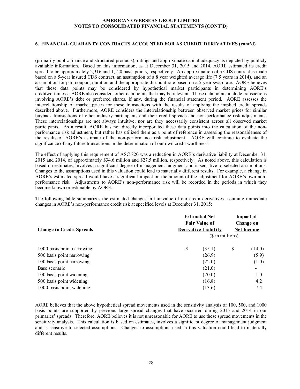#### **6.** F**INANCIAL GUARANTY CONTRACTS ACCOUNTED FOR AS CREDIT DERIVATIVES (cont'd)**

(primarily public finance and structured products), ratings and approximate capital adequacy as depicted by publicly available information. Based on this information, as at December 31, 2015 and 2014, AORE estimated its credit spread to be approximately 2,316 and 1,120 basis points, respectively. An approximation of a CDS contract is made based on a 5-year insured CDS contract, an assumption of a 8 year weighted average life (7.5 years in 2014), and an assumption for par, coupon, duration and the appropriate discount rate based on a 5-year swap rate. AORE believes that these data points may be considered by hypothetical market participants in determining AORE's creditworthiness. AORE also considers other data points that may be relevant. These data points include transactions involving AORE's debt or preferred shares, if any, during the financial statement period. AORE assesses the interrelationship of market prices for these transactions with the results of applying the implied credit spreads described above. Furthermore, AORE considers the interrelationship between observed market prices for similar buyback transactions of other industry participants and their credit spreads and non-performance risk adjustments. These interrelationships are not always intuitive, nor are they necessarily consistent across all observed market participants. As a result, AORE has not directly incorporated these data points into the calculation of the nonperformance risk adjustment, but rather has utilized them as a point of reference in assessing the reasonableness of the results of AORE's estimate of the non-performance risk adjustment. AORE will continue to evaluate the significance of any future transactions in the determination of our own credit worthiness.

The effect of applying this requirement of ASC 820 was a reduction in AORE's derivative liability at December 31, 2015 and 2014, of approximately \$34.6 million and \$27.5 million, respectively. As noted above, this calculation is based on estimates, involves a significant degree of management judgment and is sensitive to selected assumptions. Changes to the assumptions used in this valuation could lead to materially different results. For example, a change in AORE's estimated spread would have a significant impact on the amount of the adjustment for AORE's own nonperformance risk. Adjustments to AORE's non-performance risk will be recorded in the periods in which they become known or estimable by AORE.

The following table summarizes the estimated changes in fair value of our credit derivatives assuming immediate changes in AORE's non-performance credit risk at specified levels at December 31, 2015:

|                                 | <b>Estimated Net</b><br><b>Fair Value of</b> |                             | <b>Impact of</b><br><b>Change on</b> |                   |  |
|---------------------------------|----------------------------------------------|-----------------------------|--------------------------------------|-------------------|--|
| <b>Change in Credit Spreads</b> |                                              | <b>Derivative Liability</b> |                                      | <b>Net Income</b> |  |
|                                 |                                              |                             | $($$ in millions)                    |                   |  |
| 1000 basis point narrowing      | \$                                           | (35.1)                      | S                                    | (14.0)            |  |
| 500 basis point narrowing       |                                              | (26.9)                      |                                      | (5.9)             |  |
| 100 basis point narrowing       |                                              | (22.0)                      |                                      | (1.0)             |  |
| Base scenario                   |                                              | (21.0)                      |                                      |                   |  |
| 100 basis point widening        |                                              | (20.0)                      |                                      | 1.0               |  |
| 500 basis point widening        |                                              | (16.8)                      |                                      | 4.2               |  |
| 1000 basis point widening       |                                              | (13.6)                      |                                      | 7.4               |  |

AORE believes that the above hypothetical spread movements used in the sensitivity analysis of 100, 500, and 1000 basis points are supported by previous large spread changes that have occurred during 2015 and 2014 in our primaries' spreads. Therefore, AORE believes it is not unreasonable for AORE to use these spread movements in the sensitivity analysis. This calculation is based on estimates, involves a significant degree of management judgment and is sensitive to selected assumptions. Changes to assumptions used in this valuation could lead to materially different results.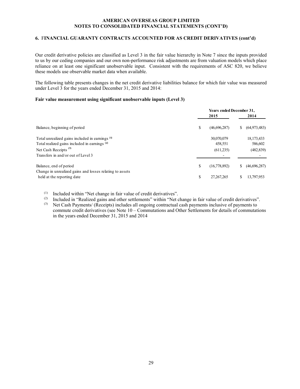#### **6.** F**INANCIAL GUARANTY CONTRACTS ACCOUNTED FOR AS CREDIT DERIVATIVES (cont'd)**

Our credit derivative policies are classified as Level 3 in the fair value hierarchy in Note 7 since the inputs provided to us by our ceding companies and our own non-performance risk adjustments are from valuation models which place reliance on at least one significant unobservable input. Consistent with the requirements of ASC 820, we believe these models use observable market data when available.

The following table presents changes in the net credit derivative liabilities balance for which fair value was measured under Level 3 for the years ended December 31, 2015 and 2014:

#### **Fair value measurement using significant unobservable inputs (Level 3)**

|                                                                                        |    | Years ended December 31, |    |              |  |
|----------------------------------------------------------------------------------------|----|--------------------------|----|--------------|--|
|                                                                                        |    | 2015                     |    | 2014         |  |
| Balance, beginning of period                                                           | \$ | (46,696,287)             | S. | (64,973,483) |  |
| Total unrealized gains included in earnings (1)                                        |    | 30,070,079               |    | 18, 173, 433 |  |
| Total realized gains included in earnings (2)                                          |    | 458,551                  |    | 586,602      |  |
| Net Cash Receipts <sup>(3)</sup>                                                       |    | (611,235)                |    | (482, 839)   |  |
| Transfers in and/or out of Level 3                                                     |    |                          |    |              |  |
| Balance, end of period                                                                 | S  | (16,778,892)             | S  | (46,696,287) |  |
| Change in unrealized gains and losses relating to assets<br>held at the reporting date | S  | 27, 267, 265             |    | 13,797,953   |  |

(1) Included within "Net change in fair value of credit derivatives".

(2) Included in "Realized gains and other settlements" within "Net change in fair value of credit derivatives".<br>
(3) Net Cash Payments (Receipts) includes all ongoing contractual cash payments inclusive of payments to

Net Cash Payments/ (Receipts) includes all ongoing contractual cash payments inclusive of payments to commute credit derivatives (see Note 10 – Commutations and Other Settlements for details of commutations in the years ended December 31, 2015 and 2014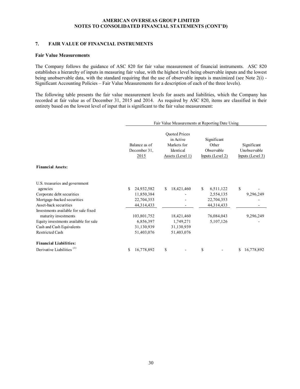#### **7. FAIR VALUE OF FINANCIAL INSTRUMENTS**

#### **Fair Value Measurements**

The Company follows the guidance of ASC 820 for fair value measurement of financial instruments. ASC 820 establishes a hierarchy of inputs in measuring fair value, with the highest level being observable inputs and the lowest being unobservable data, with the standard requiring that the use of observable inputs is maximized (see Note  $2(i)$  -Significant Accounting Policies – Fair Value Measurements for a description of each of the three levels).

The following table presents the fair value measurement levels for assets and liabilities, which the Company has recorded at fair value as of December 31, 2015 and 2014. As required by ASC 820, items are classified in their entirety based on the lowest level of input that is significant to the fair value measurement:

|                                                                                                                                                              | Fair Value Measurements at Reporting Date Using            |                                                                            |                                                            |                                                 |  |  |  |
|--------------------------------------------------------------------------------------------------------------------------------------------------------------|------------------------------------------------------------|----------------------------------------------------------------------------|------------------------------------------------------------|-------------------------------------------------|--|--|--|
|                                                                                                                                                              | Balance as of<br>December 31,<br>2015                      | Quoted Prices<br>in Active<br>Markets for<br>Identical<br>Assets (Level 1) | Significant<br>Other<br>Observable<br>Inputs $(Level 2)$   | Significant<br>Unobservable<br>Inputs (Level 3) |  |  |  |
| <b>Financial Assets:</b>                                                                                                                                     |                                                            |                                                                            |                                                            |                                                 |  |  |  |
| U.S. treasuries and government<br>agencies<br>Corporate debt securities<br>Mortgage-backed securities<br>Asset-back securities                               | \$<br>24,932,582<br>11,850,384<br>22,704,353<br>44,314,433 | 18,421,460<br>\$                                                           | \$<br>6,511,122<br>2,554,135<br>22,704,353<br>44, 314, 433 | \$<br>9,296,249                                 |  |  |  |
| Investments available for sale fixed<br>maturity investments<br>Equity investments available for sale<br>Cash and Cash Equivalents<br><b>Restricted Cash</b> | 103,801,752<br>6,856,397<br>31,130,939<br>51,403,076       | 18,421,460<br>1,749,271<br>31,130,939<br>51,403,076                        | 76,084,043<br>5,107,126                                    | 9,296,249                                       |  |  |  |
| <b>Financial Liabilities:</b><br>Derivative Liabilities <sup>(1)</sup>                                                                                       | 16,778,892<br>\$                                           | \$                                                                         | \$                                                         | 16,778,892<br>\$                                |  |  |  |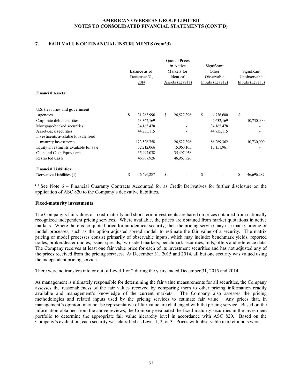#### **7. FAIR VALUE OF FINANCIAL INSTRUMENTS (cont'd)**

|                                       | <b>Ouoted Prices</b><br>in Active<br>Balance as of<br>Markets for<br>December 31,<br>Identical<br>Assets (Level 1)<br>2014 |              |    | Significant<br>Other<br>Observable<br>Inputs (Level 2) |    | Significant<br>Unobservable<br>Inputs (Level 3) |                  |
|---------------------------------------|----------------------------------------------------------------------------------------------------------------------------|--------------|----|--------------------------------------------------------|----|-------------------------------------------------|------------------|
| <b>Financial Assets:</b>              |                                                                                                                            |              |    |                                                        |    |                                                 |                  |
| U.S. treasuries and government        |                                                                                                                            |              |    |                                                        |    |                                                 |                  |
| agencies                              | \$                                                                                                                         | 31,263,996   | \$ | 26,527,396                                             | \$ | 4,736,600                                       | \$               |
| Corporate debt securities             |                                                                                                                            | 13,362,169   |    |                                                        |    | 2,632,169                                       | 10,730,000       |
| Mortgage-backed securities            |                                                                                                                            | 34, 165, 478 |    |                                                        |    | 34, 165, 478                                    |                  |
| Asset-back securities                 |                                                                                                                            | 44,735,115   |    |                                                        |    | 44,735,115                                      |                  |
| Investments available for sale fixed  |                                                                                                                            |              |    |                                                        |    |                                                 |                  |
| maturity investments                  |                                                                                                                            | 123,526,758  |    | 26,527,396                                             |    | 86,269,362                                      | 10,730,000       |
| Equity investments available for sale |                                                                                                                            | 32,212,066   |    | 15,060,105                                             |    | 17, 151, 961                                    |                  |
| Cash and Cash Equivalents             |                                                                                                                            | 35,497,038   |    | 35,497,038                                             |    |                                                 |                  |
| <b>Restricted Cash</b>                |                                                                                                                            | 46,967,926   |    | 46,967,926                                             |    |                                                 |                  |
| <b>Financial Liabilities:</b>         |                                                                                                                            |              |    |                                                        |    |                                                 |                  |
| Derivative Liabilities (1)            | \$                                                                                                                         | 46,696,287   | \$ |                                                        | \$ |                                                 | \$<br>46,696,287 |

 $<sup>(1)</sup>$  See Note 6 – Financial Guaranty Contracts Accounted for as Credit Derivatives for further disclosure on the</sup> application of ASC 820 to the Company's derivative liabilities.

#### **Fixed-maturity investments**

The Company's fair values of fixed-maturity and short-term investments are based on prices obtained from nationally recognized independent pricing services. Where available, the prices are obtained from market quotations in active markets. Where there is no quoted price for an identical security, then the pricing service may use matrix pricing or model processes, such as the option adjusted spread model, to estimate the fair value of a security. The matrix pricing or model processes consist primarily of observable inputs, which may include: benchmark yields, reported trades, broker/dealer quotes, issuer spreads, two-sided markets, benchmark securities, bids, offers and reference data. The Company receives at least one fair value price for each of its investment securities and has not adjusted any of the prices received from the pricing services. At December 31, 2015 and 2014, all but one security was valued using the independent pricing services.

There were no transfers into or out of Level 1 or 2 during the years ended December 31, 2015 and 2014.

As management is ultimately responsible for determining the fair value measurements for all securities, the Company assesses the reasonableness of the fair values received by comparing them to other pricing information readily available and management's knowledge of the current markets. The Company also assesses the pricing methodologies and related inputs used by the pricing services to estimate fair value. Any prices that, in management's opinion, may not be representative of fair value are challenged with the pricing service. Based on the information obtained from the above reviews, the Company evaluated the fixed-maturity securities in the investment portfolio to determine the appropriate fair value hierarchy level in accordance with ASC 820. Based on the Company's evaluation, each security was classified as Level 1, 2, or 3. Prices with observable market inputs were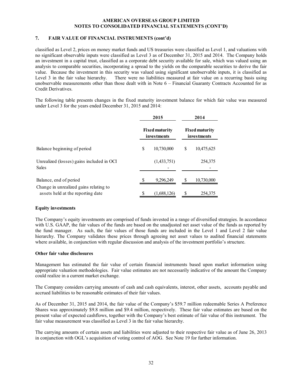#### **7. FAIR VALUE OF FINANCIAL INSTRUMENTS (cont'd)**

classified as Level 2, prices on money market funds and US treasuries were classified as Level 1, and valuations with no significant observable inputs were classified as Level 3 as of December 31, 2015 and 2014. The Company holds an investment in a capital trust, classified as a corporate debt security available for sale, which was valued using an analysis to comparable securities, incorporating a spread to the yields on the comparable securities to derive the fair value. Because the investment in this security was valued using significant unobservable inputs, it is classified as Level 3 in the fair value hierarchy. There were no liabilities measured at fair value on a recurring basis using unobservable measurements other than those dealt with in Note 6 – Financial Guaranty Contracts Accounted for as Credit Derivatives.

The following table presents changes in the fixed maturity investment balance for which fair value was measured under Level 3 for the years ended December 31, 2015 and 2014:

|                                                                             | 2015                                        |                                             | 2014       |  |  |
|-----------------------------------------------------------------------------|---------------------------------------------|---------------------------------------------|------------|--|--|
|                                                                             | <b>Fixed maturity</b><br><i>investments</i> | <b>Fixed maturity</b><br><i>investments</i> |            |  |  |
| Balance beginning of period                                                 | \$<br>10,730,000                            | S                                           | 10,475,625 |  |  |
| Unrealized (losses) gains included in OCI<br>Sales                          | (1,433,751)                                 |                                             | 254,375    |  |  |
| Balance, end of period                                                      | 9,296,249                                   |                                             | 10,730,000 |  |  |
| Change in unrealized gains relating to<br>assets held at the reporting date | (1,688,126)                                 |                                             | 254,375    |  |  |

#### **Equity investments**

The Company's equity investments are comprised of funds invested in a range of diversified strategies. In accordance with U.S. GAAP, the fair values of the funds are based on the unadjusted net asset value of the funds as reported by the fund manager. As such, the fair values of those funds are included in the Level 1 and Level 2 fair value hierarchy. The Company validates these prices through agreeing net asset values to audited financial statements where available, in conjunction with regular discussion and analysis of the investment portfolio's structure.

#### **Other fair value disclosures**

Management has estimated the fair value of certain financial instruments based upon market information using appropriate valuation methodologies. Fair value estimates are not necessarily indicative of the amount the Company could realize in a current market exchange.

The Company considers carrying amounts of cash and cash equivalents, interest, other assets, accounts payable and accrued liabilities to be reasonable estimates of their fair values.

As of December 31, 2015 and 2014, the fair value of the Company's \$59.7 million redeemable Series A Preference Shares was approximately \$9.8 million and \$9.4 million, respectively. These fair value estimates are based on the present value of expected cashflows, together with the Company's best estimate of fair value of this instrument. The fair value measurement was classified as Level 3 in the fair value hierarchy.

The carrying amounts of certain assets and liabilities were adjusted to their respective fair value as of June 26, 2013 in conjunction with OGL's acquisition of voting control of AOG. See Note 19 for further information.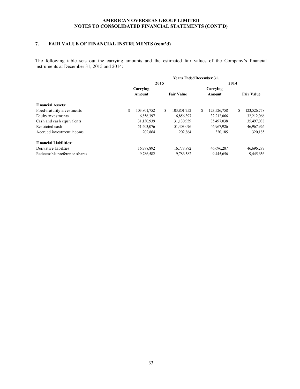# **7. FAIR VALUE OF FINANCIAL INSTRUMENTS (cont'd)**

The following table sets out the carrying amounts and the estimated fair values of the Company's financial instruments at December 31, 2015 and 2014:

|                               | <b>Years Ended December 31,</b> |             |    |                   |    |             |    |                   |
|-------------------------------|---------------------------------|-------------|----|-------------------|----|-------------|----|-------------------|
|                               |                                 | 2015        |    |                   |    | 2014        |    |                   |
|                               |                                 | Carrying    |    |                   |    | Carrying    |    |                   |
|                               |                                 | Amount      |    | <b>Fair Value</b> |    | Amount      |    | <b>Fair Value</b> |
| <b>Financial Assets:</b>      |                                 |             |    |                   |    |             |    |                   |
| Fixed-maturity investments    | \$                              | 103,801,752 | \$ | 103,801,752       | \$ | 123,526,758 | \$ | 123,526,758       |
| Equity investments            |                                 | 6,856,397   |    | 6,856,397         |    | 32,212,066  |    | 32,212,066        |
| Cash and cash equivalents     |                                 | 31,130,939  |    | 31,130,939        |    | 35,497,038  |    | 35,497,038        |
| Restricted cash               |                                 | 51,403,076  |    | 51,403,076        |    | 46,967,926  |    | 46,967,926        |
| Accrued investment income     |                                 | 202,864     |    | 202.864           |    | 320,185     |    | 320,185           |
| <b>Financial Liabilities:</b> |                                 |             |    |                   |    |             |    |                   |
| Derivative liabilities        |                                 | 16,778,892  |    | 16,778,892        |    | 46,696,287  |    | 46,696,287        |
| Redeemable preference shares  |                                 | 9,786,582   |    | 9,786,582         |    | 9,445,656   |    | 9,445,656         |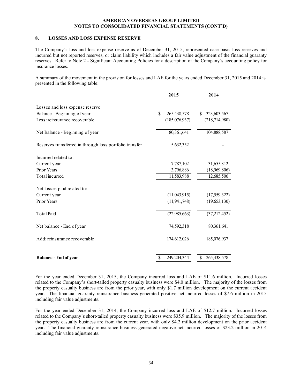#### **8. LOSSES AND LOSS EXPENSE RESERVE**

The Company's loss and loss expense reserve as of December 31, 2015, represented case basis loss reserves and incurred but not reported reserves, or claim liability which includes a fair value adjustment of the financial guaranty reserves. Refer to Note 2 - Significant Accounting Policies for a description of the Company's accounting policy for insurance losses.

A summary of the movement in the provision for losses and LAE for the years ended December 31, 2015 and 2014 is presented in the following table:

|                                                         | 2015              | 2014              |
|---------------------------------------------------------|-------------------|-------------------|
| Losses and loss expense reserve                         |                   |                   |
| Balance - Beginning of year                             | \$<br>265,438,578 | 323,603,567<br>S. |
| Less: reinsurance recoverable                           | (185,076,937)     | (218, 714, 980)   |
| Net Balance - Beginning of year                         | 80,361,641        | 104,888,587       |
| Reserves transferred in through loss portfolio transfer | 5,632,352         |                   |
| Incurred related to:                                    |                   |                   |
| Current year                                            | 7,787,102         | 31,655,312        |
| Prior Years                                             | 3,796,886         | (18,969,806)      |
| Total incurred                                          | 11,583,988        | 12,685,506        |
| Net losses paid related to:                             |                   |                   |
| Current year                                            | (11,043,915)      | (17,559,322)      |
| Prior Years                                             | (11, 941, 748)    | (19,653,130)      |
| <b>Total Paid</b>                                       | (22, 985, 663)    | (37, 212, 452)    |
| Net balance - End of year                               | 74,592,318        | 80, 361, 641      |
| Add: reinsurance recoverable                            | 174,612,026       | 185,076,937       |
|                                                         |                   |                   |
| <b>Balance - End of year</b>                            | 249,204,344<br>\$ | 265,438,578<br>\$ |

For the year ended December 31, 2015, the Company incurred loss and LAE of \$11.6 million. Incurred losses related to the Company's short-tailed property casualty business were \$4.0 million. The majority of the losses from the property casualty business are from the prior year, with only \$1.7 million development on the current accident year. The financial guaranty reinsurance business generated positive net incurred losses of \$7.6 million in 2015 including fair value adjustments.

For the year ended December 31, 2014, the Company incurred loss and LAE of \$12.7 million. Incurred losses related to the Company's short-tailed property casualty business were \$35.9 million. The majority of the losses from the property casualty business are from the current year, with only \$4.2 million development on the prior accident year. The financial guaranty reinsurance business generated negative net incurred losses of \$23.2 million in 2014 including fair value adjustments.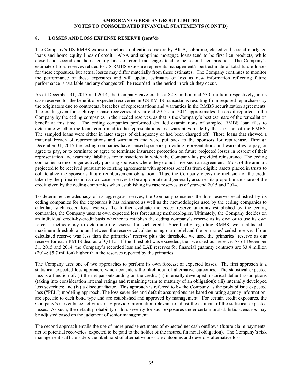#### **8. LOSSES AND LOSS EXPENSE RESERVE (cont'd)**

The Company's US RMBS exposure includes obligations backed by Alt-A, subprime, closed-end second mortgage loans and home equity lines of credit. Alt-A and subprime mortgage loans tend to be first lien products, while closed-end second and home equity lines of credit mortgages tend to be second lien products. The Company's estimate of loss reserves related to US RMBS exposure represents management's best estimate of total future losses for these exposures, but actual losses may differ materially from these estimates. The Company continues to monitor the performance of these exposures and will update estimates of loss as new information reflecting future performance is available and any changes will be recorded in the period in which they occur.

As of December 31, 2015 and 2014, the Company gave credit of \$2.8 million and \$3.0 million, respectively, in its case reserves for the benefit of expected recoveries in US RMBS transactions resulting from required repurchases by the originators due to contractual breaches of representations and warranties in the RMBS securitization agreements. The credit given for such repurchase recoveries at year-end 2015 and 2014 approximates the credit reported to the Company by the ceding companies in their ceded reserves, as that is the Company's best estimate of the remediation benefit at this time. The ceding companies performed detailed examinations of sampled RMBS loan files to determine whether the loans conformed to the representations and warranties made by the sponsors of the RMBS. The sampled loans were either in later stages of delinquency or had been charged off. Those loans that showed a material breach of representations and warranties and were put back to the sponsors for repurchase. Through December 31, 2015 the ceding companies have caused sponsors providing representations and warranties to pay, or agree to pay, or to terminate or agree to terminate insurance protection on future projected losses in respect of their representation and warranty liabilities for transactions in which the Company has provided reinsurance. The ceding companies are no longer actively pursuing sponsors where they do not have such an agreement. Most of the amount projected to be received pursuant to existing agreements with sponsors benefits from eligible assets placed in trusts to collateralize the sponsor's future reimbursement obligation. Thus, the Company views the inclusion of the credit taken by the primaries in its own case reserves to be appropriate and generally assumes its proportionate share of the credit given by the ceding companies when establishing its case reserves as of year-end 2015 and 2014.

To determine the adequacy of its aggregate reserves, the Company considers the loss reserves established by its ceding companies for the exposures it has reinsured as well as the methodologies used by the ceding companies to calculate such ceded loss reserves. To further evaluate the ceded reserve amounts established by the ceding companies, the Company uses its own expected loss forecasting methodologies. Ultimately, the Company decides on an individual credit-by-credit basis whether to establish the ceding company's reserve as its own or to use its own forecast methodology to determine the reserve for such credit. Specifically regarding RMBS, we established a maximum threshold amount between the reserve calculated using our model and the primaries' ceded reserve. If our calculated reserve was less than the primaries' reserve plus the threshold, we used the primaries' reserve as our reserve for each RMBS deal as of Q4 15. If the threshold was exceeded, then we used our reserve. As of December 31, 2015 and 2014, the Company's recorded loss and LAE reserves for financial guaranty contracts are \$3.4 million (2014: \$5.7 million) higher than the reserves reported by the primaries.

The Company uses one of two approaches to perform its own forecast of expected losses. The first approach is a statistical expected loss approach, which considers the likelihood of alternative outcomes. The statistical expected loss is a function of: (i) the net par outstanding on the credit; (ii) internally developed historical default assumptions (taking into consideration internal ratings and remaining term to maturity of an obligation); (iii) internally developed loss severities; and (iv) a discount factor. This approach is referred to by the Company as the probabilistic expected loss ("PEL") modeling approach. The loss severities and default assumptions are based on rating agency information, are specific to each bond type and are established and approved by management. For certain credit exposures, the Company's surveillance activities may provide information relevant to adjust the estimate of the statistical expected losses. As such, the default probability or loss severity for such exposures under certain probabilistic scenarios may be adjusted based on the judgment of senior management.

The second approach entails the use of more precise estimates of expected net cash outflows (future claim payments, net of potential recoveries, expected to be paid to the holder of the insured financial obligation). The Company's risk management staff considers the likelihood of alternative possible outcomes and develops alternative loss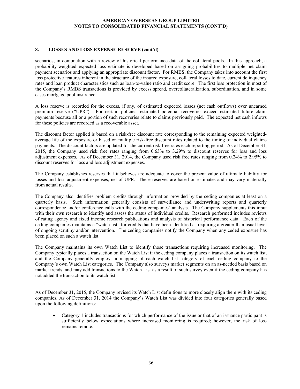#### **8. LOSSES AND LOSS EXPENSE RESERVE (cont'd)**

scenarios, in conjunction with a review of historical performance data of the collateral pools. In this approach, a probability-weighted expected loss estimate is developed based on assigning probabilities to multiple net claim payment scenarios and applying an appropriate discount factor. For RMBS, the Company takes into account the first loss protective features inherent in the structure of the insured exposure, collateral losses to date, current delinquency rates and loan product characteristics such as loan-to-value ratio and credit score. The first loss protection in most of the Company's RMBS transactions is provided by excess spread, overcollateralization, subordination, and in some cases mortgage pool insurance.

A loss reserve is recorded for the excess, if any, of estimated expected losses (net cash outflows) over unearned premium reserve ("UPR"). For certain policies, estimated potential recoveries exceed estimated future claim payments because all or a portion of such recoveries relate to claims previously paid. The expected net cash inflows for these policies are recorded as a recoverable asset.

The discount factor applied is based on a risk-free discount rate corresponding to the remaining expected weightedaverage life of the exposure or based on multiple risk-free discount rates related to the timing of individual claims payments. The discount factors are updated for the current risk-free rates each reporting period. As of December 31, 2015, the Company used risk free rates ranging from 0.63% to 3.29% to discount reserves for loss and loss adjustment expenses. As of December 31, 2014, the Company used risk free rates ranging from 0.24% to 2.95% to discount reserves for loss and loss adjustment expenses.

The Company establishes reserves that it believes are adequate to cover the present value of ultimate liability for losses and loss adjustment expenses, net of UPR. These reserves are based on estimates and may vary materially from actual results.

The Company also identifies problem credits through information provided by the ceding companies at least on a quarterly basis. Such information generally consists of surveillance and underwriting reports and quarterly correspondence and/or conference calls with the ceding companies' analysts. The Company supplements this input with their own research to identify and assess the status of individual credits. Research performed includes reviews of rating agency and fixed income research publications and analysis of historical performance data. Each of the ceding companies maintains a "watch list" for credits that have been identified as requiring a greater than usual level of ongoing scrutiny and/or intervention. The ceding companies notify the Company when any ceded exposure has been placed on such a watch list.

The Company maintains its own Watch List to identify those transactions requiring increased monitoring. The Company typically places a transaction on the Watch List if the ceding company places a transaction on its watch list, and the Company generally employs a mapping of each watch list category of each ceding company to the Company's own Watch List categories. The Company also surveys market segments on an as-needed basis based on market trends, and may add transactions to the Watch List as a result of such survey even if the ceding company has not added the transaction to its watch list.

As of December 31, 2015, the Company revised its Watch List definitions to more closely align them with its ceding companies. As of December 31, 2014 the Company's Watch List was divided into four categories generally based upon the following definitions:

 Category 1 includes transactions for which performance of the issue or that of an issuance participant is sufficiently below expectations where increased monitoring is required; however, the risk of loss remains remote.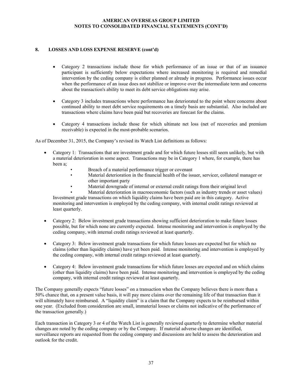#### **8. LOSSES AND LOSS EXPENSE RESERVE (cont'd)**

- Category 2 transactions include those for which performance of an issue or that of an issuance participant is sufficiently below expectations where increased monitoring is required and remedial intervention by the ceding company is either planned or already in progress. Performance issues occur when the performance of an issue does not stabilize or improve over the intermediate term and concerns about the transaction's ability to meet its debt service obligations may arise.
- Category 3 includes transactions where performance has deteriorated to the point where concerns about continued ability to meet debt service requirements on a timely basis are substantial. Also included are transactions where claims have been paid but recoveries are forecast for the claims.
- Category 4 transactions include those for which ultimate net loss (net of recoveries and premium receivable) is expected in the most-probable scenarios.

As of December 31, 2015, the Company's revised its Watch List definitions as follows:

- Category 1: Transactions that are investment grade and for which future losses still seem unlikely, but with a material deterioration in some aspect. Transactions may be in Category 1 where, for example, there has been a;
	- Breach of a material performance trigger or covenant
	- Material deterioration in the financial health of the issuer, servicer, collateral manager or other important party
	- Material downgrade of internal or external credit ratings from their original level

• Material deterioration in macroeconomic factors (such as industry trends or asset values) Investment grade transactions on which liquidity claims have been paid are in this category. Active monitoring and intervention is employed by the ceding company, with internal credit ratings reviewed at least quarterly.

- Category 2: Below investment grade transactions showing sufficient deterioration to make future losses possible, but for which none are currently expected. Intense monitoring and intervention is employed by the ceding company, with internal credit ratings reviewed at least quarterly.
- Category 3: Below investment grade transactions for which future losses are expected but for which no claims (other than liquidity claims) have yet been paid. Intense monitoring and intervention is employed by the ceding company, with internal credit ratings reviewed at least quarterly.
- Category 4: Below investment grade transactions for which future losses are expected and on which claims (other than liquidity claims) have been paid. Intense monitoring and intervention is employed by the ceding company, with internal credit ratings reviewed at least quarterly.

The Company generally expects "future losses" on a transaction when the Company believes there is more than a 50% chance that, on a present value basis, it will pay more claims over the remaining life of that transaction than it will ultimately have reimbursed. A "liquidity claim" is a claim that the Company expects to be reimbursed within one year. (Excluded from consideration are small, immaterial losses or claims not indicative of the performance of the transaction generally.)

Each transaction in Category 3 or 4 of the Watch List is generally reviewed quarterly to determine whether material changes are noted by the ceding company or by the Company. If material adverse changes are identified, surveillance reports are requested from the ceding company and discussions are held to assess the deterioration and outlook for the credit.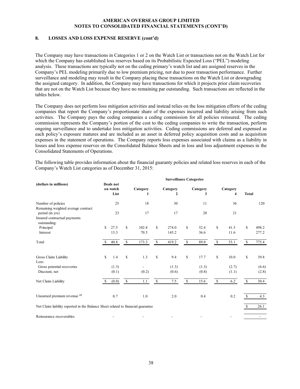#### **8. LOSSES AND LOSS EXPENSE RESERVE (cont'd)**

The Company may have transactions in Categories 1 or 2 on the Watch List or transactions not on the Watch List for which the Company has established loss reserves based on its Probabilistic Expected Loss ("PEL") modeling analysis. These transactions are typically not on the ceding primary's watch list and are assigned reserves in the Company's PEL modeling primarily due to low premium pricing, not due to poor transaction performance. Further surveillance and modeling may result in the Company placing these transactions on the Watch List or downgrading the assigned category. In addition, the Company may have transactions for which it projects prior claim recoveries that are not on the Watch List because they have no remaining par outstanding. Such transactions are reflected in the tables below.

The Company does not perform loss mitigation activities and instead relies on the loss mitigation efforts of the ceding companies that report the Company's proportionate share of the expenses incurred and liability arising from such activities. The Company pays the ceding companies a ceding commission for all policies reinsured. The ceding commission represents the Company's portion of the cost to the ceding companies to write the transaction, perform ongoing surveillance and to undertake loss mitigation activities. Ceding commissions are deferred and expensed as each policy's exposure matures and are included as an asset in deferred policy acquisition costs and as acquisition expenses in the statement of operations. The Company reports loss expenses associated with claims as a liability in losses and loss expense reserves on the Consolidated Balance Sheets and in loss and loss adjustment expenses in the Consolidated Statements of Operations.

The following table provides information about the financial guaranty policies and related loss reserves in each of the Company's Watch List categories as of December 31, 2015:

|                                                                                  | <b>Surveillance Categories</b> |                               |             |               |              |                          |              |                        |              |                                     |               |                          |
|----------------------------------------------------------------------------------|--------------------------------|-------------------------------|-------------|---------------|--------------|--------------------------|--------------|------------------------|--------------|-------------------------------------|---------------|--------------------------|
| (dollars in millions)                                                            |                                | Deals not<br>on watch<br>List |             | Category<br>1 |              | Category<br>$\mathbf{2}$ |              | Category<br>3          |              | Category<br>$\overline{\mathbf{4}}$ | <b>Total</b>  |                          |
| Number of policies<br>Remaining weighted average contract                        |                                | 25                            |             | 18            |              | 30                       |              | 11                     |              | 36                                  |               | 120                      |
| period (in yrs)<br>Insured contractual payments                                  |                                | 23                            |             | 17            |              | 17                       |              | 20                     |              | 21                                  |               |                          |
| outstanding:<br>Principal<br>Interest                                            | \$                             | 27.5<br>13.3                  | $\mathbf S$ | 102.8<br>70.5 | $\mathbf S$  | 274.0<br>145.2           | \$           | 52.4<br>36.6           | $\mathbf S$  | 41.5<br>11.6                        | $\mathbb{S}$  | 498.2<br>277.2           |
| Total                                                                            | \$                             | 40.8                          | $\mathbb S$ | 173.3         | $\mathbb{S}$ | 419.2                    | $\mathbb S$  | 89.0                   | $\mathbb S$  | 53.1                                | $\mathbb{S}$  | 775.4                    |
| Gross Claim Liability<br>Less:<br>Gross potential recoveries<br>Discount, net    | $\mathbf S$                    | 1.4<br>(1.3)<br>(0.1)         | S           | 1.3<br>(0.2)  | \$           | 9.4<br>(1.3)<br>(0.6)    | \$           | 17.7<br>(1.3)<br>(0.8) | \$           | 10.0<br>(2.7)<br>(1.1)              | \$            | 39.8<br>(6.6)<br>(2.8)   |
| Net Claim Liability                                                              | -S                             | (0.0)                         | \$          | 1.1           | \$           | 7.5                      | $\mathbb{S}$ | 15.6                   | $\mathbb{S}$ | 6.2                                 | $\mathbb{S}$  | 30.4                     |
| Unearned premium revenue (1)                                                     |                                | 0.7                           |             | 1.0           |              | 2.0                      |              | 0.4                    |              | 0.2                                 | $\mathbb{S}$  | 4.3                      |
| Net Claim liability reported in the Balance Sheet related to financial guarantee |                                |                               |             |               |              |                          |              |                        |              |                                     | <sup>\$</sup> | 26.1                     |
| Reinsurance recoverables                                                         |                                |                               |             |               |              |                          |              |                        |              |                                     |               | $\overline{\phantom{a}}$ |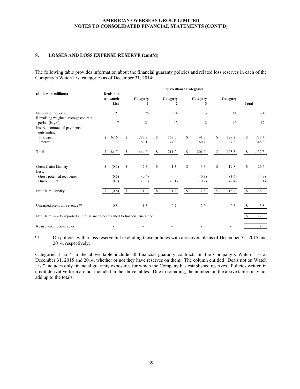#### **8. LOSSES AND LOSS EXPENSE RESERVE (cont'd)**

The following table provides information about the financial guaranty policies and related loss reserves in each of the Company's Watch List categories as of December 31, 2014:

|                                                                                        |               |                               |               |                |             | <b>Surveillance Categories</b> |              |                |               |                |               |                          |
|----------------------------------------------------------------------------------------|---------------|-------------------------------|---------------|----------------|-------------|--------------------------------|--------------|----------------|---------------|----------------|---------------|--------------------------|
| (dollars in millions)                                                                  |               | Deals not<br>on watch<br>List |               | Category<br>1  |             | Category<br>2                  |              | Category<br>3  |               | Category<br>4  | <b>Total</b>  |                          |
| Number of policies                                                                     |               | 21                            |               | 25             |             | 14                             |              | 13             |               | 51             |               | 124                      |
| Remaining weighted average contract<br>period (in yrs)<br>Insured contractual payments |               | 17                            |               | 21             |             | 13                             |              | 12             |               | 19             |               | 17                       |
| outstanding:<br>Principal<br>Interest                                                  | $\mathbf S$   | 67.6<br>17.1                  | S             | 283.9<br>160.1 | $\mathbf S$ | 167.0<br>44.2                  | S.           | 141.7<br>60.2  | <sup>\$</sup> | 128.2<br>67.3  | \$            | 788.4<br>348.9           |
| Total                                                                                  | <sup>S</sup>  | 84.7                          | <sup>\$</sup> | 444.0          | \$          | 211.2                          | $\mathbf S$  | 201.9          | $\mathcal{S}$ | 195.5          | $\mathbb{S}$  | 1,137.3                  |
| Gross Claim Liability<br>Less:                                                         | \$            | (0.1)                         | \$            | 2.3            | \$          | 1.3                            | \$           | 3.3            | \$            | 19.8           | \$            | 26.6                     |
| Gross potential recoveries<br>Discount, net                                            |               | (0.6)<br>(0.1)                |               | (0.4)<br>(0.3) |             | (0.1)                          |              | (0.3)<br>(0.2) |               | (3.6)<br>(2.4) |               | (4.9)<br>(3.1)           |
| Net Claim Liability                                                                    | <sup>\$</sup> | (0.8)                         | $\mathbb{S}$  | 1.6            | \$          | 1.2                            | $\mathbb{S}$ | 2.8            | $\mathbb{S}$  | 13.8           | $\mathbb{S}$  | 18.6                     |
| Unearned premium revenue (1)                                                           |               | 0.8                           |               | 1.5            |             | 0.7                            |              | 2.0            |               | 0.8            | $\mathbb{S}$  | 5.8                      |
| Net Claim liability reported in the Balance Sheet related to financial guarantee       |               |                               |               |                |             |                                |              |                |               |                | <sup>\$</sup> | 12.8                     |
| Reinsurance recoverables                                                               |               |                               |               |                |             |                                |              |                |               |                |               | $\overline{\phantom{a}}$ |

(1) On policies with a loss reserve but excluding those policies with a recoverable as of December 31, 2015 and 2014, respectively.

Categories 1 to 4 in the above table include all financial guaranty contracts on the Company's Watch List at December 31, 2015 and 2014, whether or not they have reserves on them. The column entitled "Deals not on Watch List" includes only financial guaranty exposures for which the Company has established reserves. Policies written in credit derivative form are not included in the above tables. Due to rounding, the numbers in the above tables may not add up to the totals.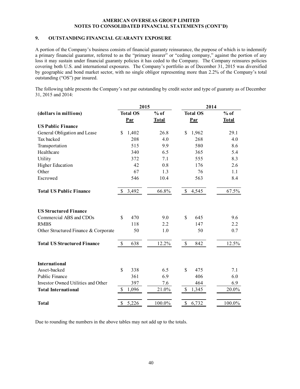#### **9. OUTSTANDING FINANCIAL GUARANTY EXPOSURE**

A portion of the Company's business consists of financial guaranty reinsurance, the purpose of which is to indemnify a primary financial guarantor, referred to as the "primary insurer" or "ceding company," against the portion of any loss it may sustain under financial guaranty policies it has ceded to the Company. The Company reinsures policies covering both U.S. and international exposures. The Company's portfolio as of December 31, 2015 was diversified by geographic and bond market sector, with no single obligor representing more than 2.2% of the Company's total outstanding ("OS") par insured.

The following table presents the Company's net par outstanding by credit sector and type of guaranty as of December 31, 2015 and 2014:

|                                      | 2015                |              | 2014                  |              |  |  |
|--------------------------------------|---------------------|--------------|-----------------------|--------------|--|--|
| (dollars in millions)                | <b>Total OS</b>     | $%$ of       | <b>Total OS</b>       | $%$ of       |  |  |
|                                      | Par                 | <b>Total</b> | Par                   | <b>Total</b> |  |  |
| <b>US Public Finance</b>             |                     |              |                       |              |  |  |
| General Obligation and Lease         | 1,402<br>\$         | 26.8         | \$<br>1,962           | 29.1         |  |  |
| Tax backed                           | 208                 | 4.0          | 268                   | 4.0          |  |  |
| Transportation                       | 515                 | 9.9          | 580                   | 8.6          |  |  |
| Healthcare                           | 340                 | 6.5          | 365                   | 5.4          |  |  |
| Utility                              | 372                 | 7.1          | 555                   | 8.3          |  |  |
| <b>Higher Education</b>              | 42                  | 0.8          | 176                   | 2.6          |  |  |
| Other                                | 67                  | 1.3          | 76                    | 1.1          |  |  |
| Escrowed                             | 546                 | 10.4         | 563                   | 8.4          |  |  |
| <b>Total US Public Finance</b>       | \$3,492             | 66.8%        | \$4,545               | 67.5%        |  |  |
| <b>US Structured Finance</b>         |                     |              |                       |              |  |  |
| Commercial ABS and CDOs              | \$<br>470           | 9.0          | \$<br>645             | 9.6          |  |  |
| <b>RMBS</b>                          | 118                 | 2.2          | 147                   | 2.2          |  |  |
| Other Structured Finance & Corporate | 50                  | 1.0          | 50                    | 0.7          |  |  |
| <b>Total US Structured Finance</b>   | $\mathbb{S}$<br>638 | 12.2%        | \$<br>842             | 12.5%        |  |  |
| <b>International</b>                 |                     |              |                       |              |  |  |
| Asset-backed                         | \$<br>338           | 6.5          | \$<br>475             | 7.1          |  |  |
| Public Finance                       | 361                 | 6.9          | 406                   | 6.0          |  |  |
| Investor Owned Utilities and Other   | 397                 | 7.6          | 464                   | 6.9          |  |  |
| <b>Total International</b>           | \$<br>1,096         | 21.0%        | $\mathbb{S}$<br>1,345 | 20.0%        |  |  |
| <b>Total</b>                         | \$5,226             | 100.0%       | \$<br>6,732           | 100.0%       |  |  |

Due to rounding the numbers in the above tables may not add up to the totals.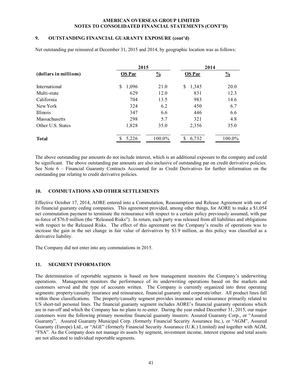#### **9. OUTSTANDING FINANCIAL GUARANTY EXPOSURE (cont'd)**

Net outstanding par reinsured at December 31, 2015 and 2014, by geographic location was as follows:

|                       | 2015          |               | 2014          |               |  |
|-----------------------|---------------|---------------|---------------|---------------|--|
| (dollars in millions) | <b>OS Par</b> | $\frac{0}{2}$ | <b>OS Par</b> | $\frac{0}{2}$ |  |
| International         | \$<br>1,096   | 21.0          | S.<br>1,345   | 20.0          |  |
| Multi-state           | 629           | 12.0          | 831           | 12.3          |  |
| California            | 704           | 13.5          | 983           | 14.6          |  |
| New York              | 324           | 6.2           | 450           | 6.7           |  |
| Illinois              | 347           | 6.6           | 446           | 6.6           |  |
| Massachusetts         | 298           | 5.7           | 321           | 4.8           |  |
| Other U.S. States     | 1,828         | 35.0          | 2,356         | 35.0          |  |
| <b>Total</b>          | 5,226         | $100.0\%$     | 6,732         | 100.0%        |  |

The above outstanding par amounts do not include interest, which is an additional exposure to the company and could be significant. The above outstanding par amounts are also inclusive of outstanding par on credit derivative policies. See Note 6 – Financial Guaranty Contracts Accounted for as Credit Derivatives for further information on the outstanding par relating to credit derivative policies.

#### **10. COMMUTATIONS AND OTHER SETTLEMENTS**

Effective October 17, 2014, AORE entered into a Commutation, Reassumption and Release Agreement with one of its financial guaranty ceding companies. This agreement provided, among other things, for AORE to make a \$1,054 net commutation payment to terminate the reinsurance with respect to a certain policy previously assumed, with par in-force of \$76.0 million (the "Released Risks"). In return, each party was released from all liabilities and obligations with respect to the Released Risks. The effect of this agreement on the Company's results of operations was to increase the gain in the net change in fair value of derivatives by \$3.9 million, as this policy was classified as a derivative liability.

The Company did not enter into any commutations in 2015.

#### **11. SEGMENT INFORMATION**

The determination of reportable segments is based on how management monitors the Company's underwriting operations. Management monitors the performance of its underwriting operations based on the markets and customers served and the type of accounts written. The Company is currently organized into three operating segments: property/casualty insurance and reinsurance, financial guaranty and corporate/other. All product lines fall within these classifications. The property/casualty segment provides insurance and reinsurance primarily related to US short-tail personal lines. The financial guaranty segment includes AORE's financial guaranty operations which are in run-off and which the Company has no plans to re-enter. During the year ended December 31, 2015, our major customers were the following primary monoline financial guaranty insurers: Assured Guaranty Corp., or "Assured Guaranty", Assured Guaranty Municipal Corp. (formerly Financial Security Assurance Inc.), or "AGM", Assured Guaranty (Europe) Ltd., or "AGE" (formerly Financial Security Assurance (U.K.) Limited) and together with AGM, "FSA". As the Company does not manage its assets by segment, investment income, interest expense and total assets are not allocated to individual reportable segments.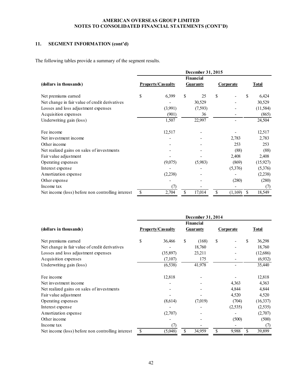# **11. SEGMENT INFORMATION (cont'd)**

The following tables provide a summary of the segment results.

|                                                   | December 31, 2015 |                          |    |                  |    |           |    |              |  |
|---------------------------------------------------|-------------------|--------------------------|----|------------------|----|-----------|----|--------------|--|
|                                                   |                   |                          |    | <b>Financial</b> |    |           |    |              |  |
| (dollars in thousands)                            |                   | <b>Property/Casualty</b> |    | <b>Guaranty</b>  |    | Corporate |    | <b>Total</b> |  |
| Net premiums earned                               | \$                | 6,399                    | \$ | 25               | \$ |           | \$ | 6,424        |  |
| Net change in fair value of credit derivatives    |                   |                          |    | 30,529           |    |           |    | 30,529       |  |
| Losses and loss adjustment expenses               |                   | (3,991)                  |    | (7, 593)         |    |           |    | (11, 584)    |  |
| Acquisition expenses                              |                   | (901)                    |    | 36               |    |           |    | (865)        |  |
| Underwriting gain (loss)                          |                   | 1,507                    |    | 22,997           |    |           |    | 24,504       |  |
| Fee income                                        |                   | 12,517                   |    |                  |    |           |    | 12,517       |  |
| Net investment income                             |                   |                          |    |                  |    | 2,783     |    | 2,783        |  |
| Other income                                      |                   |                          |    |                  |    | 253       |    | 253          |  |
| Net realized gains on sales of investments        |                   |                          |    |                  |    | (88)      |    | (88)         |  |
| Fair value adjustment                             |                   |                          |    |                  |    | 2,408     |    | 2,408        |  |
| Operating expenses                                |                   | (9,075)                  |    | (5,983)          |    | (869)     |    | (15, 927)    |  |
| Interest expense                                  |                   |                          |    |                  |    | (5,376)   |    | (5,376)      |  |
| Amortization expense                              |                   | (2,238)                  |    |                  |    |           |    | (2,238)      |  |
| Other expense                                     |                   |                          |    |                  |    | (280)     |    | (280)        |  |
| Income tax                                        |                   | (7)                      |    |                  |    |           |    | (7)          |  |
| Net income (loss) before non controlling interest |                   | 2,704                    | \$ | 17,014           | \$ | (1,169)   | \$ | 18,549       |  |

|                                                   | December 31, 2014        |          |                              |         |                  |          |              |           |  |
|---------------------------------------------------|--------------------------|----------|------------------------------|---------|------------------|----------|--------------|-----------|--|
| (dollars in thousands)                            | <b>Property/Casualty</b> |          | Financial<br><b>Guaranty</b> |         | <b>Corporate</b> |          | <b>Total</b> |           |  |
| Net premiums earned                               | \$                       | 36,466   | \$                           | (168)   | \$               |          |              | 36,298    |  |
| Net change in fair value of credit derivatives    |                          |          |                              | 18,760  |                  |          |              | 18,760    |  |
| Losses and loss adjustment expenses               |                          | (35,897) |                              | 23,211  |                  |          |              | (12,686)  |  |
| Acquisition expenses                              |                          | (7,107)  |                              | 175     |                  |          |              | (6,932)   |  |
| Underwriting gain (loss)                          |                          | (6, 538) |                              | 41,978  |                  |          |              | 35,440    |  |
| Fee income                                        |                          | 12,818   |                              |         |                  |          |              | 12,818    |  |
| Net investment income                             |                          |          |                              |         |                  | 4,363    |              | 4,363     |  |
| Net realized gains on sales of investments        |                          |          |                              |         |                  | 4,844    |              | 4,844     |  |
| Fair value adjustment                             |                          |          |                              |         |                  | 4,520    |              | 4,520     |  |
| Operating expenses                                |                          | (8,614)  |                              | (7,019) |                  | (704)    |              | (16, 337) |  |
| Interest expense                                  |                          |          |                              |         |                  | (2, 535) |              | (2, 535)  |  |
| Amortization expense                              |                          | (2,707)  |                              |         |                  |          |              | (2,707)   |  |
| Other income                                      |                          |          |                              |         |                  | (500)    |              | (500)     |  |
| Income tax                                        |                          | l'/`     |                              |         |                  |          |              | (7)       |  |
| Net income (loss) before non controlling interest | \$                       | (5,048)  | \$                           | 34,959  | \$               | 9,988    |              | 39,899    |  |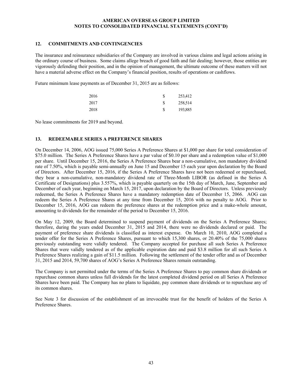#### **12. COMMITMENTS AND CONTINGENCIES**

The insurance and reinsurance subsidiaries of the Company are involved in various claims and legal actions arising in the ordinary course of business. Some claims allege breach of good faith and fair dealing; however, those entities are vigorously defending their position, and in the opinion of management, the ultimate outcome of these matters will not have a material adverse effect on the Company's financial position, results of operations or cashflows.

Future minimum lease payments as of December 31, 2015 are as follows:

| 2016 |   | 253,412 |
|------|---|---------|
| 2017 |   | 258,514 |
| 2018 | S | 193,885 |

No lease commitments for 2019 and beyond.

#### **13. REDEEMABLE SERIES A PREFERENCE SHARES**

On December 14, 2006, AOG issued 75,000 Series A Preference Shares at \$1,000 per share for total consideration of \$75.0 million. The Series A Preference Shares have a par value of \$0.10 per share and a redemption value of \$1,000 per share. Until December 15, 2016, the Series A Preference Shares bear a non-cumulative, non mandatory dividend rate of 7.50%, which is payable semi-annually on June 15 and December 15 each year upon declaration by the Board of Directors. After December 15, 2016, if the Series A Preference Shares have not been redeemed or repurchased, they bear a non-cumulative, non-mandatory dividend rate of Three-Month LIBOR (as defined in the Series A Certificate of Designations) plus 3.557%, which is payable quarterly on the 15th day of March, June, September and December of each year, beginning on March 15, 2017, upon declaration by the Board of Directors. Unless previously redeemed, the Series A Preference Shares have a mandatory redemption date of December 15, 2066. AOG can redeem the Series A Preference Shares at any time from December 15, 2016 with no penalty to AOG. Prior to December 15, 2016, AOG can redeem the preference shares at the redemption price and a make-whole amount, amounting to dividends for the remainder of the period to December 15, 2016.

On May 12, 2009, the Board determined to suspend payment of dividends on the Series A Preference Shares; therefore, during the years ended December 31, 2015 and 2014, there were no dividends declared or paid. The payment of preference share dividends is classified as interest expense. On March 10, 2010, AOG completed a tender offer for the Series A Preference Shares, pursuant to which 15,300 shares, or 20.40% of the 75,000 shares previously outstanding were validly tendered. The Company accepted for purchase all such Series A Preference Shares that were validly tendered as of the applicable expiration date and paid \$3.8 million for all such Series A Preference Shares realizing a gain of \$11.5 million. Following the settlement of the tender offer and as of December 31, 2015 and 2014, 59,700 shares of AOG's Series A Preference Shares remain outstanding.

The Company is not permitted under the terms of the Series A Preference Shares to pay common share dividends or repurchase common shares unless full dividends for the latest completed dividend period on all Series A Preference Shares have been paid. The Company has no plans to liquidate, pay common share dividends or to repurchase any of its common shares.

See Note 3 for discussion of the establishment of an irrevocable trust for the benefit of holders of the Series A Preference Shares.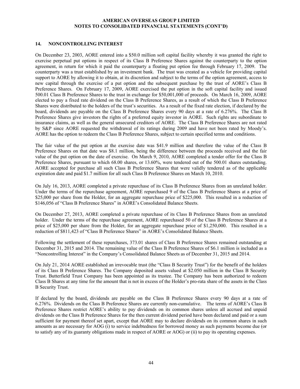#### **14. NONCONTROLLING INTEREST**

On December 23, 2003, AORE entered into a \$50.0 million soft capital facility whereby it was granted the right to exercise perpetual put options in respect of its Class B Preference Shares against the counterparty to the option agreement, in return for which it paid the counterparty a floating put option fee through February 17, 2009. The counterparty was a trust established by an investment bank. The trust was created as a vehicle for providing capital support to AORE by allowing it to obtain, at its discretion and subject to the terms of the option agreement, access to new capital through the exercise of a put option and the subsequent purchase by the trust of AORE's Class B Preference Shares. On February 17, 2009, AORE exercised the put option in the soft capital facility and issued 500.01 Class B Preference Shares to the trust in exchange for \$50,001,000 of proceeds. On March 16, 2009, AORE elected to pay a fixed rate dividend on the Class B Preference Shares, as a result of which the Class B Preference Shares were distributed to the holders of the trust's securities. As a result of the fixed rate election, if declared by the board, dividends are payable on the Class B Preference Shares every 90 days at a rate of 6.276%. The Class B Preference Shares give investors the rights of a preferred equity investor in AORE. Such rights are subordinate to insurance claims, as well as the general unsecured creditors of AORE. The Class B Preference Shares are not rated by S&P since AORE requested the withdrawal of its ratings during 2009 and have not been rated by Moody's. AORE has the option to redeem the Class B Preference Shares, subject to certain specified terms and conditions.

The fair value of the put option at the exercise date was \$41.9 million and therefore the value of the Class B Preference Shares on that date was \$8.1 million, being the difference between the proceeds received and the fair value of the put option on the date of exercise. On March 9, 2010, AORE completed a tender offer for the Class B Preference Shares, pursuant to which 68.00 shares, or 13.60%, were tendered out of the 500.01 shares outstanding. AORE accepted for purchase all such Class B Preference Shares that were validly tendered as of the applicable expiration date and paid \$1.7 million for all such Class B Preference Shares on March 10, 2010.

On July 16, 2013, AORE completed a private repurchase of its Class B Preference Shares from an unrelated holder. Under the terms of the repurchase agreement, AORE repurchased 9 of the Class B Preference Shares at a price of \$25,000 per share from the Holder, for an aggregate repurchase price of \$225,000. This resulted in a reduction of \$146,056 of "Class B Preference Shares" in AORE's Consolidated Balance Sheets.

On December 27, 2013, AORE completed a private repurchase of its Class B Preference Shares from an unrelated holder. Under the terms of the repurchase agreement, AORE repurchased 50 of the Class B Preference Shares at a price of \$25,000 per share from the Holder, for an aggregate repurchase price of \$1,250,000. This resulted in a reduction of \$811,423 of "Class B Preference Shares" in AORE's Consolidated Balance Sheets.

Following the settlement of these repurchases, 373.01 shares of Class B Preference Shares remained outstanding at December 31, 2015 and 2014. The remaining value of the Class B Preference Shares of \$6.1 million is included as a "Noncontrolling Interest" in the Company's Consolidated Balance Sheets as of December 31, 2015 and 2014.

On July 21, 2014 AORE established an irrevocable trust (the "Class B Security Trust") for the benefit of the holders of its Class B Preference Shares. The Company deposited assets valued at \$2.050 million in the Class B Security Trust. Butterfield Trust Company has been appointed as its trustee. The Company has been authorized to redeem Class B Shares at any time for the amount that is not in excess of the Holder's pro-rata share of the assets in the Class B Security Trust.

If declared by the board, dividends are payable on the Class B Preference Shares every 90 days at a rate of 6.276%. Dividends on the Class B Preference Shares are currently non-cumulative. The terms of AORE's Class B Preference Shares restrict AORE's ability to pay dividends on its common shares unless all accrued and unpaid dividends on the Class B Preference Shares for the then current dividend period have been declared and paid or a sum sufficient for payment thereof set apart, except that AORE may to declare dividends on its common shares in such amounts as are necessary for AOG (i) to service indebtedness for borrowed money as such payments become due (or to satisfy any of its guaranty obligations made in respect of AORE or AOG) or (ii) to pay its operating expenses.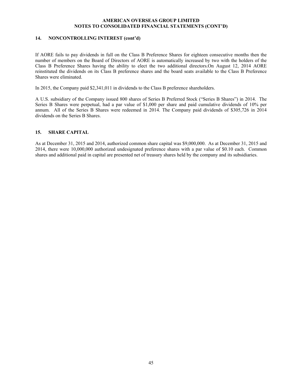#### **14. NONCONTROLLING INTEREST (cont'd)**

If AORE fails to pay dividends in full on the Class B Preference Shares for eighteen consecutive months then the number of members on the Board of Directors of AORE is automatically increased by two with the holders of the Class B Preference Shares having the ability to elect the two additional directors.On August 12, 2014 AORE reinstituted the dividends on its Class B preference shares and the board seats available to the Class B Preference Shares were eliminated.

In 2015, the Company paid \$2,341,011 in dividends to the Class B preference shareholders.

A U.S. subsidiary of the Company issued 800 shares of Series B Preferred Stock ("Series B Shares") in 2014. The Series B Shares were perpetual, had a par value of \$1,000 per share and paid cumulative dividends of 10% per annum. All of the Series B Shares were redeemed in 2014. The Company paid dividends of \$305,726 in 2014 dividends on the Series B Shares.

#### **15. SHARE CAPITAL**

As at December 31, 2015 and 2014, authorized common share capital was \$9,000,000. As at December 31, 2015 and 2014, there were 10,000,000 authorized undesignated preference shares with a par value of \$0.10 each. Common shares and additional paid in capital are presented net of treasury shares held by the company and its subsidiaries.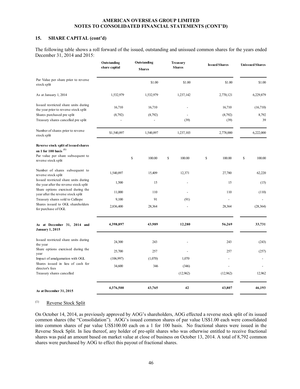#### **15. SHARE CAPITAL (cont'd)**

The following table shows a roll forward of the issued, outstanding and unissued common shares for the years ended December 31, 2014 and 2015:

|                                                                                              | <b>Outstanding</b><br>share capital | Outstanding<br><b>Shares</b> | Treasury<br><b>Shares</b> | <b>Issued Shares</b> | <b>Unissued Shares</b> |
|----------------------------------------------------------------------------------------------|-------------------------------------|------------------------------|---------------------------|----------------------|------------------------|
| Par Value per share prior to reverse<br>stock split                                          |                                     | \$1.00                       | \$1.00                    | \$1.00               | \$1.00                 |
| As at January 1, 2014                                                                        | 1,532,979                           | 1,532,979                    | 1,237,142                 | 2,770,121            | 6,229,879              |
| Issued restricted share units during<br>the year prior to reverse stock split                | 16,710                              | 16,710                       |                           | 16,710               | (16,710)               |
| Shares purchased pre split<br>Treasury shares cancelled pre split                            | (8,792)                             | (8,792)                      | (39)                      | (8,792)<br>(39)      | 8,792<br>39            |
| Number of shares prior to reverse<br>stock split                                             | \$1,540,897                         | 1,540,897                    | 1,237,103                 | 2,778,000            | 6,222,000              |
| Reverse stock split of issued shares<br>on 1 for 100 basis $^{(1)}$                          |                                     |                              |                           |                      |                        |
| Par value per share subsequent to<br>reverse stock split                                     |                                     | $\mathbb{S}$<br>100.00       | \$<br>100.00              | \$<br>100.00         | \$<br>100.00           |
| Number of shares subsequent to<br>reverse stock split                                        | 1,540,897                           | 15,409                       | 12,371                    | 27,780               | 62,220                 |
| Issued restricted share units during<br>the year after the reverse stock split               | 1,500                               | 15                           |                           | 15                   | (15)                   |
| Share options exercised during the<br>year after the reverse stock split                     | 11,000                              | 110                          |                           | 110                  | (110)                  |
| Treasury shares sold to Calliope<br>Shares issued to OGL shareholders<br>for purchase of OGL | 9,100<br>2,836,400                  | 91<br>28,364                 | (91)                      | 28,364               | (28, 364)              |
| As at December 31, 2014 and<br><b>January 1, 2015</b>                                        | 4,398,897                           | 43,989                       | 12,280                    | 56,269               | 33,731                 |
| Issued restricted share units during<br>the year                                             | 24,300                              | 243                          |                           | 243                  | (243)                  |
| Share options exercised during the<br>year                                                   | 25,700                              | 257                          |                           | 257                  | (257)                  |
| Impact of amalgamation with OGL<br>Shares issued in lieu of cash for                         | (106, 997)                          | (1,070)                      | 1,070                     |                      |                        |
| director's fees<br>Treasury shares cancelled                                                 | 34,600                              | 346                          | (346)<br>(12,962)         | (12,962)             | 12,962                 |
|                                                                                              | 4,376,500                           | 43,765                       | 42                        | 43,807               | 46,193                 |
| As at December 31, 2015                                                                      |                                     |                              |                           |                      |                        |

#### (1) Reverse Stock Split

On October 14, 2014, as previously approved by AOG's shareholders, AOG effected a reverse stock split of its issued common shares (the "Consolidation"). AOG's issued common shares of par value US\$1.00 each were consolidated into common shares of par value US\$100.00 each on a 1 for 100 basis. No fractional shares were issued in the Reverse Stock Split. In lieu thereof, any holder of pre-split shares who was otherwise entitled to receive fractional shares was paid an amount based on market value at close of business on October 13, 2014. A total of 8,792 common shares were purchased by AOG to effect this payout of fractional shares.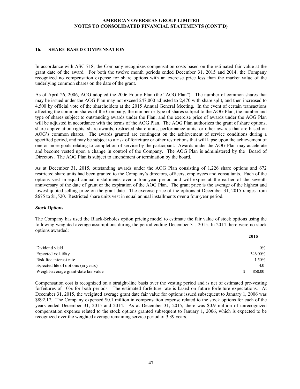#### **16. SHARE BASED COMPENSATION**

In accordance with ASC 718, the Company recognizes compensation costs based on the estimated fair value at the grant date of the award. For both the twelve month periods ended December 31, 2015 and 2014, the Company recognized no compensation expense for share options with an exercise price less than the market value of the underlying common shares on the date of the grant.

As of April 26, 2006, AOG adopted the 2006 Equity Plan (the "AOG Plan"). The number of common shares that may be issued under the AOG Plan may not exceed 247,000 adjusted to 2,470 with share split, and then increased to 4,500 by official vote of the shareholders at the 2015 Annual General Meeting. In the event of certain transactions affecting the common shares of the Company, the number or type of shares subject to the AOG Plan, the number and type of shares subject to outstanding awards under the Plan, and the exercise price of awards under the AOG Plan will be adjusted in accordance with the terms of the AOG Plan. The AOG Plan authorizes the grant of share options, share appreciation rights, share awards, restricted share units, performance units, or other awards that are based on AOG's common shares. The awards granted are contingent on the achievement of service conditions during a specified period, and may be subject to a risk of forfeiture or other restrictions that will lapse upon the achievement of one or more goals relating to completion of service by the participant. Awards under the AOG Plan may accelerate and become vested upon a change in control of the Company. The AOG Plan is administered by the Board of Directors. The AOG Plan is subject to amendment or termination by the board.

As at December 31, 2015, outstanding awards under the AOG Plan consisting of 1,226 share options and 672 restricted share units had been granted to the Company's directors, officers, employees and consultants. Each of the options vest in equal annual installments over a four-year period and will expire at the earlier of the seventh anniversary of the date of grant or the expiration of the AOG Plan. The grant price is the average of the highest and lowest quoted selling price on the grant date. The exercise price of the options at December 31, 2015 ranges from \$675 to \$1,520. Restricted share units vest in equal annual installments over a four-year period.

#### *Stock Options*

The Company has used the Black-Scholes option pricing model to estimate the fair value of stock options using the following weighted average assumptions during the period ending December 31, 2015. In 2014 there were no stock options awarded:

|                                      | 2015    |
|--------------------------------------|---------|
|                                      | $0\%$   |
| Dividend yield                       |         |
| Expected volatility                  | 346.00% |
| Risk-free interest rate              | 1.50%   |
| Expected life of options (in years)  | 4.0     |
| Weight-average grant-date fair value | 850.00  |

Compensation cost is recognized on a straight-line basis over the vesting period and is net of estimated pre-vesting forfeitures of 10% for both periods. The estimated forfeiture rate is based on future forfeiture expectations. At December 31, 2015, the weighted average grant date fair value for options issued subsequent to January 1, 2006 was \$892.17. The Company expensed \$0.1 million in compensation expense related to the stock options for each of the years ended December 31, 2015 and 2014. As at December 31, 2015, there was \$0.9 million of unrecognized compensation expense related to the stock options granted subsequent to January 1, 2006, which is expected to be recognized over the weighted average remaining service period of 3.39 years.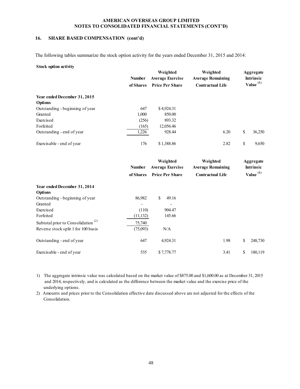#### **16. SHARE BASED COMPENSATION (cont'd)**

The following tables summarize the stock option activity for the years ended December 31, 2015 and 2014:

#### **Stock option activity**

|                                 | <b>Number</b><br>of Shares | Weighted<br><b>Average Exercise</b><br><b>Price Per Share</b> | Weighted<br><b>Average Remaining</b><br><b>Contractual Life</b> | Aggregate<br><b>Intrinsic</b><br>Value $(1)$ |
|---------------------------------|----------------------------|---------------------------------------------------------------|-----------------------------------------------------------------|----------------------------------------------|
| Year ended December 31, 2015    |                            |                                                               |                                                                 |                                              |
| <b>Options</b>                  |                            |                                                               |                                                                 |                                              |
| Outstanding - beginning of year | 647                        | \$4,924.31                                                    |                                                                 |                                              |
| Granted                         | 1.000                      | 850.00                                                        |                                                                 |                                              |
| Exercised                       | (256)                      | 893.32                                                        |                                                                 |                                              |
| Forfeited                       | (165)                      | 12,056.46                                                     |                                                                 |                                              |
| Outstanding - end of year       | 1,226                      | 928.44                                                        | 6.20                                                            | \$<br>36,250                                 |
| Exercisable - end of year       | 176                        | \$1,388.86                                                    | 2.82                                                            | \$<br>9,650                                  |

|                                                | <b>Number</b> | Weighted<br><b>Average Exercise</b> | Weighted<br><b>Average Remaining</b> | Aggregate<br>Intrinsic |
|------------------------------------------------|---------------|-------------------------------------|--------------------------------------|------------------------|
|                                                | of Shares     | <b>Price Per Share</b>              | <b>Contractual Life</b>              | Value $(1)$            |
| Year ended December 31, 2014                   |               |                                     |                                      |                        |
| <b>Options</b>                                 |               |                                     |                                      |                        |
| Outstanding - beginning of year                | 86,982        | \$<br>49.16                         |                                      |                        |
| Granted                                        |               |                                     |                                      |                        |
| Exercised                                      | (110)         | 904.47                              |                                      |                        |
| Forfeited                                      | (11, 132)     | 145.66                              |                                      |                        |
| Subtotal prior to Consolidation <sup>(2)</sup> | 75,740        |                                     |                                      |                        |
| Reverse stock split 1 for 100 basis            | (75,093)      | N/A                                 |                                      |                        |
| Outstanding - end of year                      | 647           | 4,924.31                            | 1.98                                 | \$<br>248,730          |
| Exercisable - end of year                      | 535           | \$7,778.77                          | 3.41                                 | \$<br>180,119          |

1) The aggregate intrinsic value was calculated based on the market value of \$875.00 and \$1,600.00 as at December 31, 2015 and 2014, respectively, and is calculated as the difference between the market value and the exercise price of the underlying options.

2) Amounts and prices prior to the Consolidation effective date discussed above are not adjusted for the effects of the Consolidation.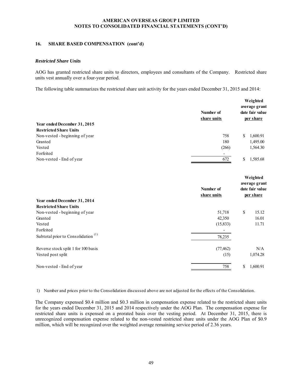#### **16. SHARE BASED COMPENSATION (cont'd)**

#### *Restricted Share Units*

AOG has granted restricted share units to directors, employees and consultants of the Company. Restricted share units vest annually over a four-year period.

The following table summarizes the restricted share unit activity for the years ended December 31, 2015 and 2014:

| Year ended December 31, 2015                   | Number of<br>share units | Weighted<br>average grant<br>date fair value<br>per share |
|------------------------------------------------|--------------------------|-----------------------------------------------------------|
| <b>Restricted Share Units</b>                  |                          |                                                           |
| Non-vested - beginning of year                 | 758                      | \$<br>1,600.91                                            |
| Granted                                        | 180                      | 1,495.00                                                  |
| Vested                                         | (266)                    | 1,564.30                                                  |
| Forfeited                                      |                          |                                                           |
| Non-vested - End of year                       | 672                      | \$<br>1,585.68                                            |
|                                                | Number of<br>share units | Weighted<br>average grant<br>date fair value<br>per share |
| Year ended December 31, 2014                   |                          |                                                           |
| <b>Restricted Share Units</b>                  |                          |                                                           |
| Non-vested - beginning of year                 | 51,718                   | \$<br>15.12                                               |
| Granted                                        | 42,350                   | 16.01                                                     |
| Vested                                         | (15, 833)                | 11.71                                                     |
| Forfeited                                      |                          |                                                           |
| Subtotal prior to Consolidation <sup>(1)</sup> | 78,235                   |                                                           |
| Reverse stock split 1 for 100 basis            | (77, 462)                | N/A                                                       |
| Vested post split                              | (15)                     | 1,074.28                                                  |
| Non-vested - End of year                       | 758                      | \$<br>1,600.91                                            |

1) Number and prices prior to the Consolidation discussed above are not adjusted for the effects of the Consolidation.

The Company expensed \$0.4 million and \$0.3 million in compensation expense related to the restricted share units for the years ended December 31, 2015 and 2014 respectively under the AOG Plan. The compensation expense for restricted share units is expensed on a prorated basis over the vesting period. At December 31, 2015, there is unrecognized compensation expense related to the non-vested restricted share units under the AOG Plan of \$0.9 million, which will be recognized over the weighted average remaining service period of 2.36 years.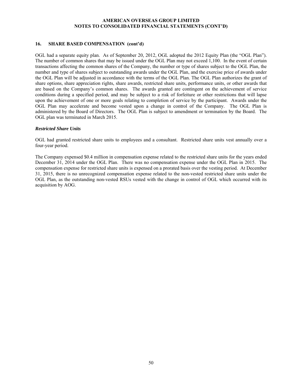#### **16. SHARE BASED COMPENSATION (cont'd)**

OGL had a separate equity plan. As of September 20, 2012, OGL adopted the 2012 Equity Plan (the "OGL Plan"). The number of common shares that may be issued under the OGL Plan may not exceed 1,100. In the event of certain transactions affecting the common shares of the Company, the number or type of shares subject to the OGL Plan, the number and type of shares subject to outstanding awards under the OGL Plan, and the exercise price of awards under the OGL Plan will be adjusted in accordance with the terms of the OGL Plan. The OGL Plan authorizes the grant of share options, share appreciation rights, share awards, restricted share units, performance units, or other awards that are based on the Company's common shares. The awards granted are contingent on the achievement of service conditions during a specified period, and may be subject to a risk of forfeiture or other restrictions that will lapse upon the achievement of one or more goals relating to completion of service by the participant. Awards under the OGL Plan may accelerate and become vested upon a change in control of the Company. The OGL Plan is administered by the Board of Directors. The OGL Plan is subject to amendment or termination by the Board. The OGL plan was terminated in March 2015.

#### *Restricted Share Units*

OGL had granted restricted share units to employees and a consultant. Restricted share units vest annually over a four-year period.

The Company expensed \$0.4 million in compensation expense related to the restricted share units for the years ended December 31, 2014 under the OGL Plan. There was no compensation expense under the OGL Plan in 2015. The compensation expense for restricted share units is expensed on a prorated basis over the vesting period. At December 31, 2015, there is no unrecognized compensation expense related to the non-vested restricted share units under the OGL Plan, as the outstanding non-vested RSUs vested with the change in control of OGL which occurred with its acquisition by AOG.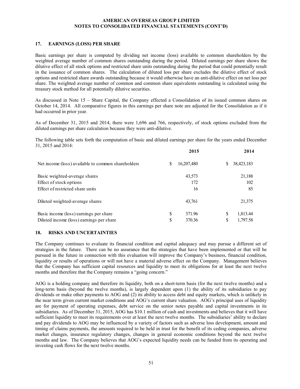#### **17. EARNINGS (LOSS) PER SHARE**

Basic earnings per share is computed by dividing net income (loss) available to common shareholders by the weighted average number of common shares outstanding during the period. Diluted earnings per share shows the dilutive effect of all stock options and restricted share units outstanding during the period that could potentially result in the issuance of common shares. The calculation of diluted loss per share excludes the dilutive effect of stock options and restricted share awards outstanding because it would otherwise have an anti-dilutive effect on net loss per share. The weighted average number of common and common share equivalents outstanding is calculated using the treasury stock method for all potentially dilutive securities.

As discussed in Note 15 – Share Capital, the Company effected a Consolidation of its issued common shares on October 14, 2014. All comparative figures in this earnings per share note are adjusted for the Consolidation as if it had occurred in prior year.

As of December 31, 2015 and 2014, there were 1,696 and 766, respectively, of stock options excluded from the diluted earnings per share calculation because they were anti-dilutive.

The following table sets forth the computation of basic and diluted earnings per share for the years ended December 31, 2015 and 2014:

|                                                    | 2015             |    | 2014       |
|----------------------------------------------------|------------------|----|------------|
| Net income (loss) available to common shareholders | \$<br>16,207,480 |    | 38,423,183 |
| Basic weighted-average shares                      | 43,573           |    | 21,188     |
| Effect of stock options                            | 172              |    | 102        |
| Effect of restricted share units                   | 16               |    | 85         |
| Diluted weighted-average shares                    | 43,761           |    | 21,375     |
| Basic income (loss) earnings per share             | \$<br>371.96     | \$ | 1,813.44   |
| Diluted income (loss) earnings per share           | \$<br>370.36     | S  | 1,797.58   |

#### **18. RISKS AND UNCERTAINTIES**

The Company continues to evaluate its financial condition and capital adequacy and may pursue a different set of strategies in the future. There can be no assurance that the strategies that have been implemented or that will be pursued in the future in connection with this evaluation will improve the Company's business, financial condition, liquidity or results of operations or will not have a material adverse effect on the Company. Management believes that the Company has sufficient capital resources and liquidity to meet its obligations for at least the next twelve months and therefore that the Company remains a "going concern."

AOG is a holding company and therefore its liquidity, both on a short-term basis (for the next twelve months) and a long-term basis (beyond the twelve months), is largely dependent upon (1) the ability of its subsidiaries to pay dividends or make other payments to AOG and (2) its ability to access debt and equity markets, which is unlikely in the near term given current market conditions and AOG's current share valuation. AOG's principal uses of liquidity are for payment of operating expenses, debt service on the senior notes payable and capital investments in its subsidiaries. As of December 31, 2015, AOG has \$10.1 million of cash and investments and believes that it will have sufficient liquidity to meet its requirements over at least the next twelve months. The subsidiaries' ability to declare and pay dividends to AOG may be influenced by a variety of factors such as adverse loss development, amount and timing of claims payments, the amounts required to be held in trust for the benefit of its ceding companies, adverse market changes, insurance regulatory changes, changes in general economic conditions beyond the next twelve months and law. The Company believes that AOG's expected liquidity needs can be funded from its operating and investing cash flows for the next twelve months.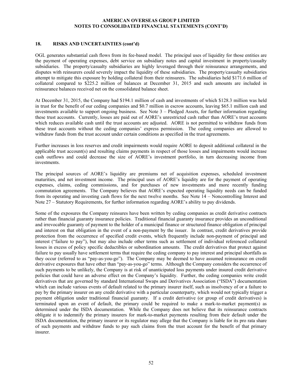#### **18. RISKS AND UNCERTAINTIES (cont'd)**

OGL generates substantial cash flows from its fee-based model. The principal uses of liquidity for those entities are the payment of operating expenses, debt service on subsidiary notes and capital investment in property/casualty subsidiaries. The property/casualty subsidiaries are highly leveraged through their reinsurance arrangements, and disputes with reinsurers could severely impact the liquidity of these subsidiaries. The property/casualty subsidiaries attempt to mitigate this exposure by holding collateral from their reinsurers. The subsidiaries held \$171.6 million of collateral compared to \$225.2 million of balances at December 31, 2015 and such amounts are included in reinsurance balances received net on the consolidated balance sheet.

At December 31, 2015, the Company had \$194.1 million of cash and investments of which \$128.3 million was held in trust for the benefit of our ceding companies and \$0.7 million in escrow accounts, leaving \$65.1 million cash and investments available to support ongoing business. See Note 3 – Pledged Assets, for further information regarding these trust accounts. Currently, losses are paid out of AORE's unrestricted cash rather than AORE's trust accounts which reduces available cash until the trust accounts are adjusted. AORE is not permitted to withdraw funds from these trust accounts without the ceding companies' express permission. The ceding companies are allowed to withdraw funds from the trust account under certain conditions as specified in the trust agreements.

Further increases in loss reserves and credit impairments would require AORE to deposit additional collateral in the applicable trust account(s) and resulting claims payments in respect of those losses and impairments would increase cash outflows and could decrease the size of AORE's investment portfolio, in turn decreasing income from investments.

The principal sources of AORE's liquidity are premiums net of acquisition expenses, scheduled investment maturities, and net investment income. The principal uses of AORE's liquidity are for the payment of operating expenses, claims, ceding commissions, and for purchases of new investments and more recently funding commutation agreements. The Company believes that AORE's expected operating liquidity needs can be funded from its operating and investing cash flows for the next twelve months. See Note 14 – Noncontrolling Interest and Note 27 – Statutory Requirements, for further information regarding AORE's ability to pay dividends.

Some of the exposures the Company reinsures have been written by ceding companies as credit derivative contracts rather than financial guaranty insurance policies. Traditional financial guaranty insurance provides an unconditional and irrevocable guaranty of payment to the holder of a municipal finance or structured finance obligation of principal and interest on that obligation in the event of a non-payment by the issuer. In contrast, credit derivatives provide protection from the occurrence of specified credit events, which frequently include non-payment of principal and interest ("failure to pay"), but may also include other terms such as settlement of individual referenced collateral losses in excess of policy specific deductibles or subordination amounts. The credit derivatives that protect against failure to pay usually have settlement terms that require the ceding company to pay interest and principal shortfalls as they occur (referred to as "pay-as-you-go"). The Company may be deemed to have assumed reinsurance on credit derivative exposures that have other than "pay-as-you-go" terms. Although the Company considers the occurrence of such payments to be unlikely, the Company is at risk of unanticipated loss payments under insured credit derivative policies that could have an adverse effect on the Company's liquidity. Further, the ceding companies write credit derivatives that are governed by standard International Swaps and Derivatives Association ("ISDA") documentation which can include various events of default related to the primary insurer itself, such as insolvency of or a failure to pay by the primary insurer on any credit derivative with a particular counterparty, which would not typically trigger a payment obligation under traditional financial guaranty. If a credit derivative (or group of credit derivatives) is terminated upon an event of default, the primary could be required to make a mark-to-market payment(s) as determined under the ISDA documentation. While the Company does not believe that its reinsurance contracts obligate it to indemnify the primary insurers for mark-to-market payments resulting from their default under the ISDA documentation, the primary insurer or its regulator may allege that the Company is liable for its pro rata share of such payments and withdraw funds to pay such claims from the trust account for the benefit of that primary insurer.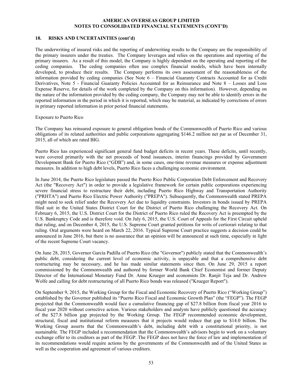#### **18. RISKS AND UNCERTAINTIES (cont'd)**

The underwriting of insured risks and the reporting of underwriting results to the Company are the responsibility of the primary insurers under the treaties. The Company leverages and relies on the operations and reporting of the primary insurers. As a result of this model, the Company is highly dependent on the operating and reporting of the ceding companies. The ceding companies often use complex financial models, which have been internally developed, to produce their results. The Company performs its own assessment of the reasonableness of the information provided by ceding companies (See Note 6 – Financial Guaranty Contracts Accounted for as Credit Derivatives, Note 5 - Financial Guaranty Policies Accounted for as Reinsurance and Note 8 – Losses and Loss Expense Reserve, for details of the work completed by the Company on this information). However, depending on the nature of the information provided by the ceding company, the Company may not be able to identify errors in the reported information in the period in which it is reported, which may be material, as indicated by corrections of errors in primary reported information in prior period financial statements.

#### Exposure to Puerto Rico

The Company has reinsured exposure to general obligation bonds of the Commonwealth of Puerto Rico and various obligations of its related authorities and public corporations aggregating \$146.2 million net par as of December 31, 2015, all of which are rated BIG.

Puerto Rico has experienced significant general fund budget deficits in recent years. These deficits, until recently, were covered primarily with the net proceeds of bond issuances, interim financings provided by Government Development Bank for Puerto Rico ("GDB") and, in some cases, one-time revenue measures or expense adjustment measures. In addition to high debt levels, Puerto Rico faces a challenging economic environment.

In June 2014, the Puerto Rico legislature passed the Puerto Rico Public Corporation Debt Enforcement and Recovery Act (the "Recovery Act") in order to provide a legislative framework for certain public corporations experiencing severe financial stress to restructure their debt, including Puerto Rico Highway and Transportation Authority ("PRHTA") and Puerto Rico Electric Power Authority ("PREPA"). Subsequently, the Commonwealth stated PREPA might need to seek relief under the Recovery Act due to liquidity constraints. Investors in bonds issued by PREPA filed suit in the United States District Court for the District of Puerto Rico challenging the Recovery Act. On February 6, 2015, the U.S. District Court for the District of Puerto Rico ruled the Recovery Act is preempted by the U.S. Bankruptcy Code and is therefore void. On July 6, 2015, the U.S. Court of Appeals for the First Circuit upheld that ruling, and on December 4, 2015, the U.S. Supreme Court granted petitions for writs of certiorari relating to that ruling. Oral arguments were heard on March 22, 2016. Typical Supreme Court practice suggests a decision could be announced in June 2016, but there is no assurance that an opinion will be announced at such time, especially in light of the recent Supreme Court vacancy.

On June 28, 2015, Governor García Padilla of Puerto Rico (the "Governor") publicly stated that the Commonwealth's public debt, considering the current level of economic activity, is unpayable and that a comprehensive debt restructuring may be necessary, and he has made similar statements since then. On June 29, 2015 a report commissioned by the Commonwealth and authored by former World Bank Chief Economist and former Deputy Director of the International Monetary Fund Dr. Anne Krueger and economists Dr. Ranjit Teja and Dr. Andrew Wolfe and calling for debt restructuring of all Puerto Rico bonds was released ("Krueger Report").

On September 9, 2015, the Working Group for the Fiscal and Economic Recovery of Puerto Rico ("Working Group") established by the Governor published its "Puerto Rico Fiscal and Economic Growth Plan" (the "FEGP"). The FEGP projected that the Commonwealth would face a cumulative financing gap of \$27.8 billion from fiscal year 2016 to fiscal year 2020 without corrective action. Various stakeholders and analysts have publicly questioned the accuracy of the \$27.8 billion gap projected by the Working Group. The FEGP recommended economic development, structural, fiscal and institutional reform measures that it projects would reduce that gap to \$14.0 billion. The Working Group asserts that the Commonwealth's debt, including debt with a constitutional priority, is not sustainable. The FEGP included a recommendation that the Commonwealth's advisors begin to work on a voluntary exchange offer to its creditors as part of the FEGP. The FEGP does not have the force of law and implementation of its recommendations would require actions by the governments of the Commonwealth and of the United States as well as the cooperation and agreement of various creditors.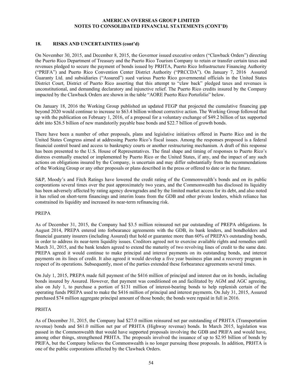#### **18. RISKS AND UNCERTAINTIES (cont'd)**

On November 30, 2015, and December 8, 2015, the Governor issued executive orders ("Clawback Orders") directing the Puerto Rico Department of Treasury and the Puerto Rico Tourism Company to retain or transfer certain taxes and revenues pledged to secure the payment of bonds issued by PRHTA, Puerto Rico Infrastructure Financing Authority ("PRIFA") and Puerto Rico Convention Center District Authority ("PRCCDA"). On January 7, 2016 Assured Guaranty Ltd. and subsidiaries ("Assured") sued various Puerto Rico governmental officials in the United States District Court, District of Puerto Rico asserting that this attempt to "claw back" pledged taxes and revenues is unconstitutional, and demanding declaratory and injunctive relief. The Puerto Rico credits insured by the Company impacted by the Clawback Orders are shown in the table "AORE Puerto Rico Portofolio" below.

On January 18, 2016 the Working Group published an updated FEGP that projected the cumulative financing gap beyond 2020 would continue to increase to \$63.4 billion without corrective action. The Working Group followed that up with the publication on February 1, 2016, of a proposal for a voluntary exchange of \$49.2 billion of tax supported debt into \$26.5 billion of new mandatorily payable base bonds and \$22.7 billion of growth bonds.

There have been a number of other proposals, plans and legislative initiatives offered in Puerto Rico and in the United States Congress aimed at addressing Puerto Rico's fiscal issues. Among the responses proposed is a federal financial control board and access to bankruptcy courts or another restructuring mechanism. A draft of this response has been presented to the U.S. House of Representatives. The final shape and timing of responses to Puerto Rico's distress eventually enacted or implemented by Puerto Rico or the United States, if any, and the impact of any such actions on obligations insured by the Company, is uncertain and may differ substantially from the recommendations of the Working Group or any other proposals or plans described in the press or offered to date or in the future.

S&P, Moody's and Fitch Ratings have lowered the credit rating of the Commonwealth's bonds and on its public corporations several times over the past approximately two years, and the Commonwealth has disclosed its liquidity has been adversely affected by rating agency downgrades and by the limited market access for its debt, and also noted it has relied on short-term financings and interim loans from the GDB and other private lenders, which reliance has constrained its liquidity and increased its near-term refinancing risk.

#### PREPA

As of December 31, 2015, the Company had \$3.5 million reinsured net par outstanding of PREPA obligations. In August 2014, PREPA entered into forbearance agreements with the GDB, its bank lenders, and bondholders and financial guaranty insurers (including Assured) that hold or guarantee more than 60% of PREPA's outstanding bonds, in order to address its near-term liquidity issues. Creditors agreed not to exercise available rights and remedies until March 31, 2015, and the bank lenders agreed to extend the maturity of two revolving lines of credit to the same date. PREPA agreed it would continue to make principal and interest payments on its outstanding bonds, and interest payments on its lines of credit. It also agreed it would develop a five year business plan and a recovery program in respect of its operations. Subsequently, most of the parties extended these forbearance agreements several times.

On July 1, 2015, PREPA made full payment of the \$416 million of principal and interest due on its bonds, including bonds insured by Assured. However, that payment was conditioned on and facilitated by AGM and AGC agreeing, also on July 1, to purchase a portion of \$131 million of interest-bearing bonds to help replenish certain of the operating funds PREPA used to make the \$416 million of principal and interest payments. On July 31, 2015, Assured purchased \$74 million aggregate principal amount of those bonds; the bonds were repaid in full in 2016.

#### PRHTA

As of December 31, 2015, the Company had \$27.0 million reinsured net par outstanding of PRHTA (Transportation revenue) bonds and \$61.0 million net par of PRHTA (Highway revenue) bonds. In March 2015, legislation was passed in the Commonwealth that would have supported proposals involving the GDB and PRIFA and would have, among other things, strengthened PRHTA. The proposals involved the issuance of up to \$2.95 billion of bonds by PRIFA, but the Company believes the Commonwealth is no longer pursuing those proposals. In addition, PRHTA is one of the public corporations affected by the Clawback Orders.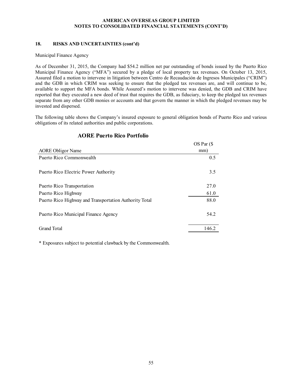#### **18. RISKS AND UNCERTAINTIES (cont'd)**

#### Municipal Finance Agency

As of December 31, 2015, the Company had \$54.2 million net par outstanding of bonds issued by the Puerto Rico Municipal Finance Agency ("MFA") secured by a pledge of local property tax revenues. On October 13, 2015, Assured filed a motion to intervene in litigation between Centro de Recaudación de Ingresos Municipales ("CRIM") and the GDB in which CRIM was seeking to ensure that the pledged tax revenues are, and will continue to be, available to support the MFA bonds. While Assured's motion to intervene was denied, the GDB and CRIM have reported that they executed a new deed of trust that requires the GDB, as fiduciary, to keep the pledged tax revenues separate from any other GDB monies or accounts and that govern the manner in which the pledged revenues may be invested and dispersed.

The following table shows the Company's insured exposure to general obligation bonds of Puerto Rico and various obligations of its related authorities and public corporations.

 $\overline{O}$   $\overline{P}$  ( $\overline{O}$ 

|                                                        | OS Par (5 |
|--------------------------------------------------------|-----------|
| <b>AORE Obligor Name</b>                               | mm)       |
| Puerto Rico Commonwealth                               | 0.5       |
| Puerto Rico Electric Power Authority                   | 3.5       |
| Puerto Rico Transportation                             | 27.0      |
| Puerto Rico Highway                                    | 61.0      |
| Puerto Rico Highway and Transportation Authority Total | 88.0      |
| Puerto Rico Municipal Finance Agency                   | 54.2      |
| <b>Grand Total</b>                                     | 146.2     |
|                                                        |           |

# **AORE Puerto Rico Portfolio**

\* Exposures subject to potential clawback by the Commonwealth.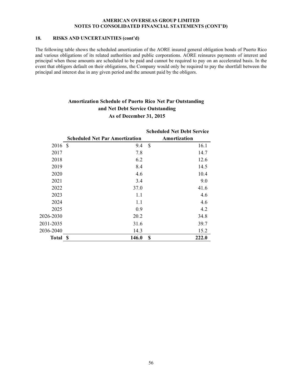#### **18. RISKS AND UNCERTAINTIES (cont'd)**

The following table shows the scheduled amortization of the AORE insured general obligation bonds of Puerto Rico and various obligations of its related authorities and public corporations. AORE reinsures payments of interest and principal when those amounts are scheduled to be paid and cannot be required to pay on an accelerated basis. In the event that obligors default on their obligations, the Company would only be required to pay the shortfall between the principal and interest due in any given period and the amount paid by the obligors.

# **Amortization Schedule of Puerto Rico Net Par Outstanding and Net Debt Service Outstanding As of December 31, 2015**

|           |      |                                       | <b>Scheduled Net Debt Service</b> |
|-----------|------|---------------------------------------|-----------------------------------|
|           |      | <b>Scheduled Net Par Amortization</b> | Amortization                      |
| 2016 \$   |      | 9.4                                   | \$<br>16.1                        |
| 2017      |      | 7.8                                   | 14.7                              |
| 2018      |      | 6.2                                   | 12.6                              |
| 2019      |      | 8.4                                   | 14.5                              |
| 2020      |      | 4.6                                   | 10.4                              |
| 2021      |      | 3.4                                   | 9.0                               |
| 2022      |      | 37.0                                  | 41.6                              |
| 2023      |      | 1.1                                   | 4.6                               |
| 2024      |      | 1.1                                   | 4.6                               |
| 2025      |      | 0.9                                   | 4.2                               |
| 2026-2030 |      | 20.2                                  | 34.8                              |
| 2031-2035 |      | 31.6                                  | 39.7                              |
| 2036-2040 |      | 14.3                                  | 15.2                              |
| Total     | - \$ | 146.0                                 | \$<br>222.0                       |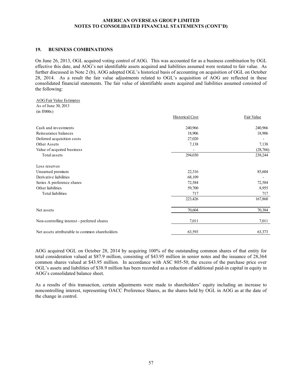#### **19. BUSINESS COMBINATIONS**

AOG Fair Value Estimates

On June 26, 2013, OGL acquired voting control of AOG. This was accounted for as a business combination by OGL effective this date, and AOG's net identifiable assets acquired and liabilities assumed were restated to fair value. As further discussed in Note 2 (b), AOG adopted OGL's historical basis of accounting on acquisition of OGL on October 28, 2014. As a result the fair value adjustments related to OGL's acquisition of AOG are reflected in these consolidated financial statements. The fair value of identifiable assets acquired and liabilities assumed consisted of the following:

| As of June 30, 2013                            |                        |            |
|------------------------------------------------|------------------------|------------|
| (in \$'000s)                                   |                        |            |
|                                                | <b>Historical Cost</b> | Fair Value |
| Cash and investments                           | 240,966                | 240,966    |
| Reinsurance balances                           | 18,906                 | 18,906     |
| Deferred acquisition costs                     | 27,020                 |            |
| Other Assets                                   | 7,138                  | 7,138      |
| Value of acquired business                     |                        | (28,766)   |
| Total assets                                   | 294,030                | 238,244    |
| Loss reserves                                  |                        |            |
| Unearned premium                               | 22,316                 | 85,604     |
| Derivative liabilities                         | 68,109                 |            |
| Series A preference shares                     | 72,584                 | 72,584     |
| Other liabilities                              | 59,700                 | 8,955      |
| Total liabilities                              | 717                    | 717        |
|                                                | 223,426                | 167,860    |
| Net assets                                     | 70,604                 | 70,384     |
| Non-controlling interest - preferred shares    | 7,011                  | 7,011      |
| Net assets attributable to common shareholders | 63,593                 | 63,373     |
|                                                |                        |            |

AOG acquired OGL on October 28, 2014 by acquiring 100% of the outstanding common shares of that entity for total consideration valued at \$87.9 million, consisting of \$43.95 million in senior notes and the issuance of 28,364 common shares valued at \$43.95 million. In accordance with ASC 805-50, the excess of the purchase price over OGL's assets and liabilities of \$38.9 million has been recorded as a reduction of additional paid-in capital in equity in AOG's consolidated balance sheet.

As a results of this transaction, certain adjustments were made to shareholders' equity including an increase to noncontrolling interest, representing OACC Preference Shares, as the shares held by OGL in AOG as at the date of the change in control.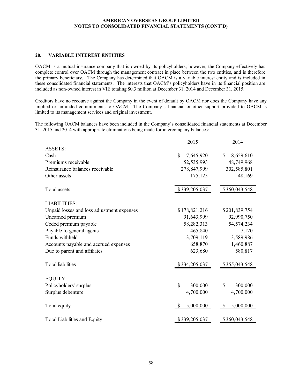#### **20. VARIABLE INTEREST ENTITIES**

OACM is a mutual insurance company that is owned by its policyholders; however, the Company effectively has complete control over OACM through the management contract in place between the two entities, and is therefore the primary beneficiary. The Company has determined that OACM is a variable interest entity and is included in these consolidated financial statements. The interests that OACM's policyholders have in its financial position are included as non-owned interest in VIE totaling \$0.3 million at December 31, 2014 and December 31, 2015.

Creditors have no recourse against the Company in the event of default by OACM nor does the Company have any implied or unfunded commitments to OACM. The Company's financial or other support provided to OACM is limited to its management services and original investment.

The following OACM balances have been included in the Company's consolidated financial statements at December 31, 2015 and 2014 with appropriate eliminations being made for intercompany balances:

|                                            | 2015                      | 2014            |
|--------------------------------------------|---------------------------|-----------------|
| <b>ASSETS:</b>                             |                           |                 |
| Cash                                       | $\mathbb{S}$<br>7,645,920 | \$<br>8,659,610 |
| Premiums receivable                        | 52,535,993                | 48,749,968      |
| Reinsurance balances receivable            | 278,847,999               | 302,585,801     |
| Other assets                               | 175,125                   | 48,169          |
| Total assets                               | \$339,205,037             | \$360,043,548   |
| <b>LIABILITIES:</b>                        |                           |                 |
| Unpaid losses and loss adjustment expenses | \$178,821,216             | \$201,839,754   |
| Unearned premium                           | 91,643,999                | 92,990,750      |
| Ceded premium payable                      | 58,282,313                | 54, 574, 234    |
| Payable to general agents                  | 465,840                   | 7,120           |
| Funds withheld                             | 3,709,119                 | 3,589,986       |
| Accounts payable and accrued expenses      | 658,870                   | 1,460,887       |
| Due to parent and affiliates               | 623,680                   | 580,817         |
| <b>Total liabilities</b>                   | \$334,205,037             | \$355,043,548   |
|                                            |                           |                 |
| EQUITY:                                    |                           |                 |
| Policyholders' surplus                     | \$<br>300,000             | \$<br>300,000   |
| Surplus debenture                          | 4,700,000                 | 4,700,000       |
| Total equity                               | \$<br>5,000,000           | \$<br>5,000,000 |
| <b>Total Liabilities and Equity</b>        | \$339,205,037             | \$360,043,548   |
|                                            |                           |                 |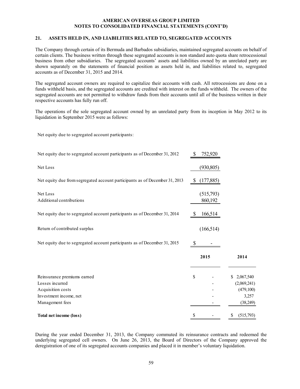#### **21. ASSETS HELD IN, AND LIABILITIES RELATED TO, SEGREGATED ACCOUNTS**

The Company through certain of its Bermuda and Barbados subsidiaries, maintained segregated accounts on behalf of certain clients. The business written through these segregated accounts is non standard auto quota share retrocessional business from other subsidiaries. The segregated accounts' assets and liabilities owned by an unrelated party are shown separately on the statements of financial position as assets held in, and liabilities related to, segregated accounts as of December 31, 2015 and 2014.

The segregated account owners are required to capitalize their accounts with cash. All retrocessions are done on a funds withheld basis, and the segregated accounts are credited with interest on the funds withheld. The owners of the segregated accounts are not permitted to withdraw funds from their accounts until all of the business written in their respective accounts has fully run off.

The operations of the sole segregated account owned by an unrelated party from its inception in May 2012 to its liquidation in September 2015 were as follows:

Net equity due to segregated account participants:

| Net equity due to segregated account participants as of December 31, 2012   | \$           | 752,920              |                                |
|-----------------------------------------------------------------------------|--------------|----------------------|--------------------------------|
| Net Loss                                                                    |              | (930, 805)           |                                |
| Net equity due from segregated account participants as of December 31, 2013 | <sup>2</sup> | (177, 885)           |                                |
| Net Loss<br>Additional contributions                                        |              | (515,793)<br>860,192 |                                |
| Net equity due to segregated account participants as of December 31, 2014   | <sup>8</sup> | 166,514              |                                |
| Return of contributed surplus                                               |              | (166, 514)           |                                |
| Net equity due to segregated account participants as of December 31, 2015   | \$           |                      |                                |
|                                                                             |              | 2015                 | 2014                           |
| Reinsurance premiums earned<br>Losses incurred                              | \$           |                      | \$<br>2,067,540<br>(2,069,241) |
| Acquisition costs                                                           |              |                      | (479,100)                      |
| Investment income, net                                                      |              |                      | 3,257                          |
| Management fees                                                             |              |                      | (38,249)                       |
| Total net income (loss)                                                     | \$           |                      | (515,793)                      |

During the year ended December 31, 2013, the Company commuted its reinsurance contracts and redeemed the underlying segregated cell owners. On June 26, 2013, the Board of Directors of the Company approved the deregistration of one of its segregated accounts companies and placed it in member's voluntary liquidation.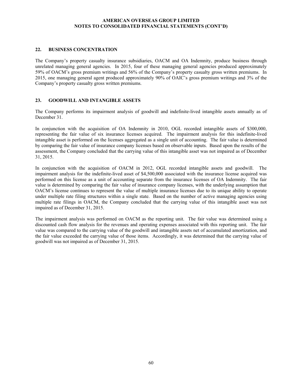#### **22. BUSINESS CONCENTRATION**

The Company's property casualty insurance subsidiaries, OACM and OA Indemnity, produce business through unrelated managing general agencies. In 2015, four of these managing general agencies produced approximately 59% of OACM's gross premium writings and 56% of the Company's property casualty gross written premiums. In 2015, one managing general agent produced approximately 90% of OAIC's gross premium writings and 3% of the Company's property casualty gross written premiums.

#### **23. GOODWILL AND INTANGIBLE ASSETS**

The Company performs its impairment analysis of goodwill and indefinite-lived intangible assets annually as of December 31.

In conjunction with the acquisition of OA Indemnity in 2010, OGL recorded intangible assets of \$300,000, representing the fair value of six insurance licenses acquired. The impairment analysis for this indefinite-lived intangible asset is performed on the licenses aggregated as a single unit of accounting. The fair value is determined by comparing the fair value of insurance company licenses based on observable inputs. Based upon the results of the assessment, the Company concluded that the carrying value of this intangible asset was not impaired as of December 31, 2015.

In conjunction with the acquisition of OACM in 2012, OGL recorded intangible assets and goodwill. The impairment analysis for the indefinite-lived asset of \$4,500,000 associated with the insurance license acquired was performed on this license as a unit of accounting separate from the insurance licenses of OA Indemnity. The fair value is determined by comparing the fair value of insurance company licenses, with the underlying assumption that OACM's license continues to represent the value of multiple insurance licenses due to its unique ability to operate under multiple rate filing structures within a single state. Based on the number of active managing agencies using multiple rate filings in OACM, the Company concluded that the carrying value of this intangible asset was not impaired as of December 31, 2015.

The impairment analysis was performed on OACM as the reporting unit. The fair value was determined using a discounted cash flow analysis for the revenues and operating expenses associated with this reporting unit. The fair value was compared to the carrying value of the goodwill and intangible assets net of accumulated amortization, and the fair value exceeded the carrying value of those items. Accordingly, it was determined that the carrying value of goodwill was not impaired as of December 31, 2015.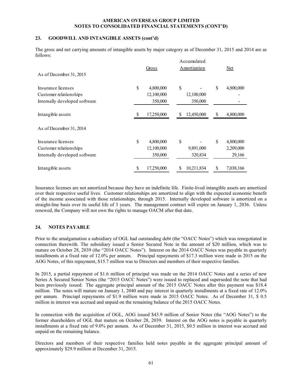#### **23. GOODWILL AND INTANGIBLE ASSETS (cont'd)**

The gross and net carrying amounts of intangible assets by major category as of December 31, 2015 and 2014 are as follows:

| As of December 31, 2015       |    | Gross      |    | Accumulated<br>Amortization | $Net$           |
|-------------------------------|----|------------|----|-----------------------------|-----------------|
|                               |    |            |    |                             |                 |
| Insurance licenses            | \$ | 4,800,000  | \$ |                             | \$<br>4,800,000 |
| Customer relationships        |    | 12,100,000 |    | 12,100,000                  |                 |
| Internally developed software |    | 350,000    |    | 350,000                     |                 |
| Intangible assets             | S  | 17,250,000 | S  | 12,450,000                  | \$<br>4,800,000 |
| As of December 31, 2014       |    |            |    |                             |                 |
| Insurance licenses            | \$ | 4,800,000  | \$ |                             | \$<br>4,800,000 |
| Customer relationships        |    | 12,100,000 |    | 9,891,000                   | 2,209,000       |
| Internally developed software |    | 350,000    |    | 320,834                     | 29,166          |
| Intangible assets             | \$ | 17,250,000 | S  | 10,211,834                  | \$<br>7,038,166 |

Insurance licenses are not amortized because they have an indefinite life. Finite-lived intangible assets are amortized over their respective useful lives. Customer relationships are amortized to align with the expected economic benefit of the income associated with those relationships, through 2015. Internally developed software is amortized on a straight-line basis over its useful life of 3 years. The management contract will expire on January 1, 2036. Unless renewed, the Company will not own the rights to manage OACM after that date.

#### **24. NOTES PAYABLE**

Prior to the amalgamation a subsidiary of OGL had outstanding debt (the "OACC Notes") which was renegotiated in connection therewith. The subsidiary issued a Senior Secured Note in the amount of \$20 million, which was to mature on October 28, 2039 (the "2014 OACC Notes"). Interest on the 2014 OACC Notes was payable in quarterly installments at a fixed rate of 12.0% per annum. Principal repayments of \$17.3 million were made in 2015 on the AOG Notes, of this repayment, \$15.7 million was to Directors and members of their respective families.

In 2015, a partial repayment of \$1.6 million of principal was made on the 2014 OACC Notes and a series of new Series A Secured Senior Notes (the "2015 OACC Notes") were issued to replaced and superseded the note that had been previously issued. The aggregate principal amount of the 2015 OACC Notes after this payment was \$18.4 million. The notes will mature on January 1, 2040 and pay interest in quarterly installments at a fixed rate of 12.0% per annum. Princiapl repayments of \$1.9 million were made in 2015 OACC Notes. As of December 31, \$ 0.5 million in interest was accrued and unpaid on the remaining balance of the 2015 OACC Notes.

In connection with the acquisition of OGL, AOG issued \$43.9 million of Senior Notes (the "AOG Notes") to the former shareholders of OGL that mature on October 28, 2039. Interest on the AOG notes is payable in quarterly installments at a fixed rate of 9.0% per annum. As of December 31, 2015, \$0.5 million in interest was accrued and unpaid on the remaining balance.

Directors and members of their respective families held notes payable in the aggregate principal amount of approximately \$29.9 million at December 31, 2015.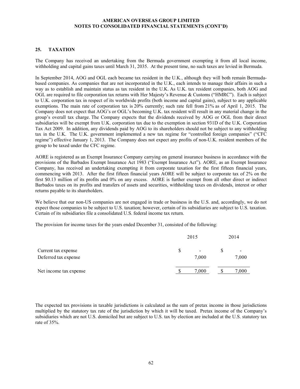#### **25. TAXATION**

The Company has received an undertaking from the Bermuda government exempting it from all local income, withholding and capital gains taxes until March 31, 2035. At the present time, no such taxes are levied in Bermuda.

In September 2014, AOG and OGL each became tax resident in the U.K., although they will both remain Bermudabased companies. As companies that are not incorporated in the U.K., each intends to manage their affairs in such a way as to establish and maintain status as tax resident in the U.K. As U.K. tax resident companies, both AOG and OGL are required to file corporation tax returns with Her Majesty's Revenue & Customs ("HMRC"). Each is subject to U.K. corporation tax in respect of its worldwide profits (both income and capital gains), subject to any applicable exemptions. The main rate of corporation tax is 20% currently; such rate fell from 21% as of April 1, 2015. The Company does not expect that AOG's or OGL's becoming U.K. tax resident will result in any material change in the group's overall tax charge. The Company expects that the dividends received by AOG or OGL from their direct subsidiaries will be exempt from U.K. corporation tax due to the exemption in section 931D of the U.K. Corporation Tax Act 2009. In addition, any dividends paid by AOG to its shareholders should not be subject to any withholding tax in the U.K. The U.K. government implemented a new tax regime for "controlled foreign companies" ("CFC regime") effective January 1, 2013. The Company does not expect any profits of non-U.K. resident members of the group to be taxed under the CFC regime.

AORE is registered as an Exempt Insurance Company carrying on general insurance business in accordance with the provisions of the Barbados Exempt Insurance Act 1983 ("Exempt Insurance Act"). AORE, as an Exempt Insurance Company, has received an undertaking exempting it from corporate taxation for the first fifteen financial years, commencing with 2013. After the first fifteen financial years AORE will be subject to corporate tax of 2% on the first \$0.13 million of its profits and 0% on any excess. AORE is further exempt from all other direct or indirect Barbados taxes on its profits and transfers of assets and securities, withholding taxes on dividends, interest or other returns payable to its shareholders.

We believe that our non-US companies are not engaged in trade or business in the U.S. and, accordingly, we do not expect those companies to be subject to U.S. taxation; however, certain of its subsidiaries are subject to U.S. taxation. Certain of its subsidiaries file a consolidated U.S. federal income tax return.

The provision for income taxes for the years ended December 31, consisted of the following:

|                                             | 2015                                    | 2014  |
|---------------------------------------------|-----------------------------------------|-------|
| Current tax expense<br>Deferred tax expense | \$<br>$\overline{\phantom{a}}$<br>7,000 | 7,000 |
| Net income tax expense                      | 7,000                                   | 7,000 |

The expected tax provisions in taxable jurisdictions is calculated as the sum of pretax income in those jurisdictions multiplied by the statutory tax rate of the jurisdiction by which it will be taxed. Pretax income of the Company's subsidiaries which are not U.S. domiciled but are subject to U.S. tax by election are included at the U.S. statutory tax rate of 35%.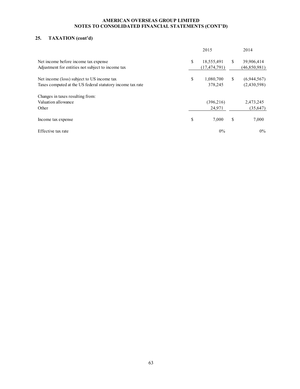# **25. TAXATION (cont'd)**

|                                                            | 2015             |    | 2014         |
|------------------------------------------------------------|------------------|----|--------------|
| Net income before income tax expense                       | \$<br>18,555,491 | S. | 39,906,414   |
| Adjustment for entities not subject to income tax          | (17, 474, 791)   |    | (46,850,981) |
| Net income (loss) subject to US income tax                 | \$<br>1,080,700  | \$ | (6,944,567)  |
| Taxes computed at the US federal statutory income tax rate | 378.245          |    | (2,430,598)  |
| Changes in taxes resulting from:                           |                  |    |              |
| Valuation allowance                                        | (396, 216)       |    | 2,473,245    |
| Other                                                      | 24,971           |    | (35, 647)    |
| Income tax expense                                         | \$<br>7,000      | S  | 7,000        |
| Effective tax rate                                         | 0%               |    | $0\%$        |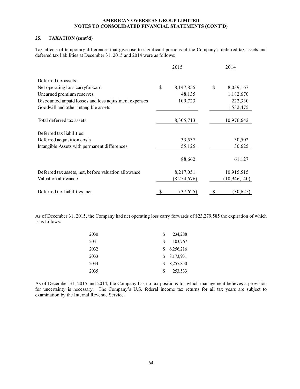#### **25. TAXATION (cont'd)**

Tax effects of temporary differences that give rise to significant portions of the Company's deferred tax assets and deferred tax liabilities at December 31, 2015 and 2014 were as follows:

|                                                       | 2015            | 2014            |
|-------------------------------------------------------|-----------------|-----------------|
| Deferred tax assets:                                  |                 |                 |
| Net operating loss carryforward                       | \$<br>8,147,855 | \$<br>8,039,167 |
| Unearned premium reserves                             | 48,135          | 1,182,670       |
| Discounted unpaid losses and loss adjustment expenses | 109,723         | 222,330         |
| Goodwill and other intangible assets                  |                 | 1,532,475       |
| Total deferred tax assets                             | 8,305,713       | 10,976,642      |
| Deferred tax liabilities:                             |                 |                 |
| Deferred acquisition costs                            | 33,537          | 30,502          |
| Intangible Assets with permanent differences          | 55,125          | 30,625          |
|                                                       | 88,662          | 61,127          |
| Deferred tax assets, net, before valuation allowance  | 8,217,051       | 10,915,515      |
| Valuation allowance                                   | (8,254,676)     | (10, 946, 140)  |
| Deferred tax liabilities, net                         | \$<br>(37, 625) | \$<br>(30,625)  |

As of December 31, 2015, the Company had net operating loss carry forwards of \$23,279,585 the expiration of which is as follows:

| 2030 | S | 234,288   |
|------|---|-----------|
| 2031 | S | 103,767   |
| 2032 | S | 6,256,216 |
| 2033 | S | 8,173,931 |
| 2034 | S | 8,257,850 |
| 2035 | S | 253,533   |

As of December 31, 2015 and 2014, the Company has no tax positions for which management believes a provision for uncertainty is necessary. The Company's U.S. federal income tax returns for all tax years are subject to examination by the Internal Revenue Service.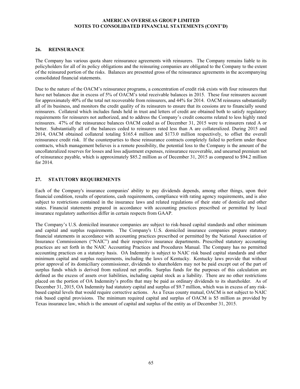#### **26. REINSURANCE**

The Company has various quota share reinsurance agreements with reinsurers. The Company remains liable to its policyholders for all of its policy obligations and the reinsuring companies are obligated to the Company to the extent of the reinsured portion of the risks. Balances are presented gross of the reinsurance agreements in the accompanying consolidated financial statements.

Due to the nature of the OACM's reinsurance programs, a concentration of credit risk exists with four reinsurers that have net balances due in excess of 5% of OACM's total receivable balances in 2015. These four reinsurers account for approximately 40% of the total net recoverable from reinsurers, and 44% for 2014. OACM reinsures substantially all of its business, and monitors the credit quality of its reinsurers to ensure that its cessions are to financially sound reinsurers. Collateral which includes funds held in trust and letters of credit are obtained both to satisfy regulatory requirements for reinsurers not authorized, and to address the Company's credit concerns related to less highly rated reinsurers. 47% of the reinsurance balances OACM ceded as of December 31, 2015 were to reinsurers rated A or better. Substantially all of the balances ceded to reinsurers rated less than A are collateralized. During 2015 and 2014, OACM obtained collateral totaling \$165.4 million and \$173.0 million respectively, to offset the overall reinsurance credit risk. If the counterparties to these reinsurance contracts completely failed to perform under these contracts, which management believes is a remote possibility, the potential loss to the Company is the amount of the uncollateralized reserves for losses and loss adjustment expenses, reinsurance recoverable, and unearned premium net of reinsurance payable, which is approximately \$85.2 million as of December 31, 2015 as compared to \$94.2 million for 2014.

#### **27. STATUTORY REQUIREMENTS**

Each of the Company's insurance companies' ability to pay dividends depends, among other things, upon their financial condition, results of operations, cash requirements, compliance with rating agency requirements, and is also subject to restrictions contained in the insurance laws and related regulations of their state of domicile and other states. Financial statements prepared in accordance with accounting practices prescribed or permitted by local insurance regulatory authorities differ in certain respects from GAAP.

The Company's U.S. domiciled insurance companies are subject to risk-based capital standards and other minimum and capital and surplus requirements. The Company's U.S. domiciled insurance companies prepare statutory financial statements in accordance with accounting practices prescribed or permitted by the National Association of Insurance Commissioners ("NAIC") and their respective insurance departments. Prescribed statutory accounting practices are set forth in the NAIC Accounting Practices and Procedures Manual. The Company has no permitted accounting practices on a statutory basis. OA Indemnity is subject to NAIC risk based capital standards and other minimum capital and surplus requirements, including the laws of Kentucky. Kentucky laws provide that without prior approval of its domiciliary commissioner, dividends to shareholders may not be paid except out of the part of surplus funds which is derived from realized net profits. Surplus funds for the purposes of this calculation are defined as the excess of assets over liabilities, including capital stock as a liability. There are no other restrictions placed on the portion of OA Indemnity's profits that may be paid as ordinary dividends to its shareholder. As of December 31, 2015, OA Indemnity had statutory capital and surplus of \$9.7 million, which was in excess of any riskbased capital levels that would require corrective actions. As a Texas county mutual, OACM is not subject to NAIC risk based capital provisions. The minimum required capital and surplus of OACM is \$5 million as provided by Texas insurance law, which is the amount of capital and surplus of the entity as of December 31, 2015.